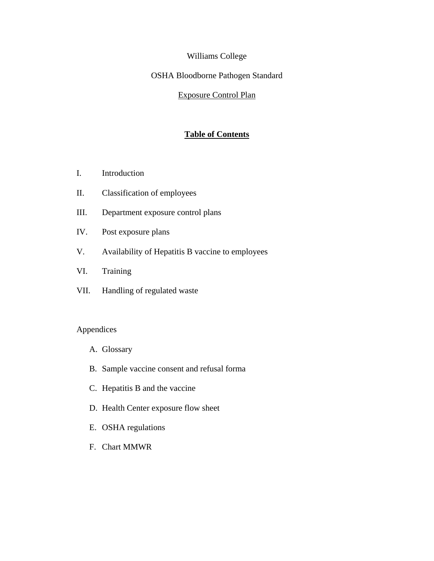## Williams College

### OSHA Bloodborne Pathogen Standard

## Exposure Control Plan

# **Table of Contents**

- I. Introduction
- II. Classification of employees
- III. Department exposure control plans
- IV. Post exposure plans
- V. Availability of Hepatitis B vaccine to employees
- VI. Training
- VII. Handling of regulated waste

## Appendices

- A. Glossary
- B. Sample vaccine consent and refusal forma
- C. Hepatitis B and the vaccine
- D. Health Center exposure flow sheet
- E. OSHA regulations
- F. Chart MMWR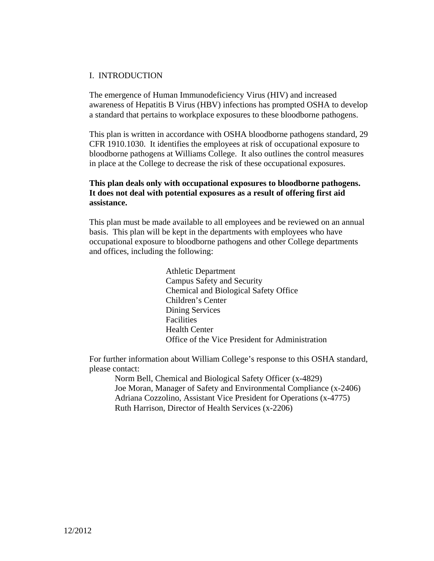### I. INTRODUCTION

The emergence of Human Immunodeficiency Virus (HIV) and increased awareness of Hepatitis B Virus (HBV) infections has prompted OSHA to develop a standard that pertains to workplace exposures to these bloodborne pathogens.

This plan is written in accordance with OSHA bloodborne pathogens standard, 29 CFR 1910.1030. It identifies the employees at risk of occupational exposure to bloodborne pathogens at Williams College. It also outlines the control measures in place at the College to decrease the risk of these occupational exposures.

## **This plan deals only with occupational exposures to bloodborne pathogens. It does not deal with potential exposures as a result of offering first aid assistance.**

This plan must be made available to all employees and be reviewed on an annual basis. This plan will be kept in the departments with employees who have occupational exposure to bloodborne pathogens and other College departments and offices, including the following:

> Athletic Department Campus Safety and Security Chemical and Biological Safety Office Children's Center Dining Services **Facilities** Health Center Office of the Vice President for Administration

For further information about William College's response to this OSHA standard, please contact:

Norm Bell, Chemical and Biological Safety Officer (x-4829) Joe Moran, Manager of Safety and Environmental Compliance (x-2406) Adriana Cozzolino, Assistant Vice President for Operations (x-4775) Ruth Harrison, Director of Health Services (x-2206)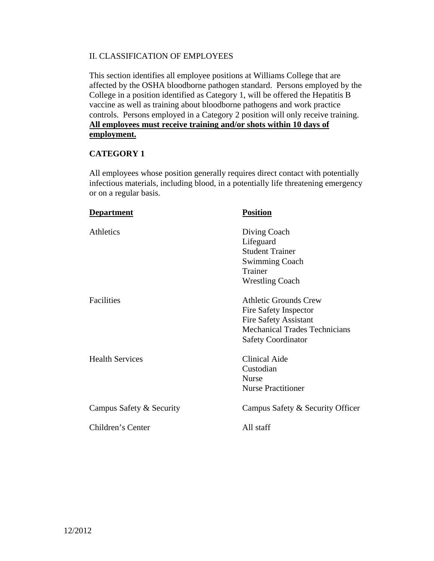## II. CLASSIFICATION OF EMPLOYEES

This section identifies all employee positions at Williams College that are affected by the OSHA bloodborne pathogen standard. Persons employed by the College in a position identified as Category 1, will be offered the Hepatitis B vaccine as well as training about bloodborne pathogens and work practice controls. Persons employed in a Category 2 position will only receive training. **All employees must receive training and/or shots within 10 days of employment.**

## **CATEGORY 1**

All employees whose position generally requires direct contact with potentially infectious materials, including blood, in a potentially life threatening emergency or on a regular basis.

| Department               | <b>Position</b>                                                                                                                                     |
|--------------------------|-----------------------------------------------------------------------------------------------------------------------------------------------------|
| <b>Athletics</b>         | Diving Coach<br>Lifeguard<br><b>Student Trainer</b><br><b>Swimming Coach</b><br>Trainer<br><b>Wrestling Coach</b>                                   |
| Facilities               | Athletic Grounds Crew<br>Fire Safety Inspector<br><b>Fire Safety Assistant</b><br><b>Mechanical Trades Technicians</b><br><b>Safety Coordinator</b> |
| <b>Health Services</b>   | <b>Clinical Aide</b><br>Custodian<br><b>Nurse</b><br><b>Nurse Practitioner</b>                                                                      |
| Campus Safety & Security | Campus Safety & Security Officer                                                                                                                    |
| Children's Center        | All staff                                                                                                                                           |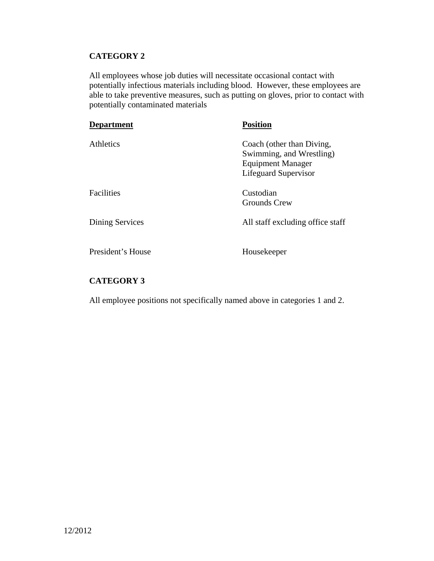# **CATEGORY 2**

All employees whose job duties will necessitate occasional contact with potentially infectious materials including blood. However, these employees are able to take preventive measures, such as putting on gloves, prior to contact with potentially contaminated materials

| <b>Department</b> | <b>Position</b>                                                                                           |
|-------------------|-----------------------------------------------------------------------------------------------------------|
| <b>Athletics</b>  | Coach (other than Diving,<br>Swimming, and Wrestling)<br><b>Equipment Manager</b><br>Lifeguard Supervisor |
| <b>Facilities</b> | Custodian<br>Grounds Crew                                                                                 |
| Dining Services   | All staff excluding office staff                                                                          |
| President's House | Housekeeper                                                                                               |

## **CATEGORY 3**

All employee positions not specifically named above in categories 1 and 2.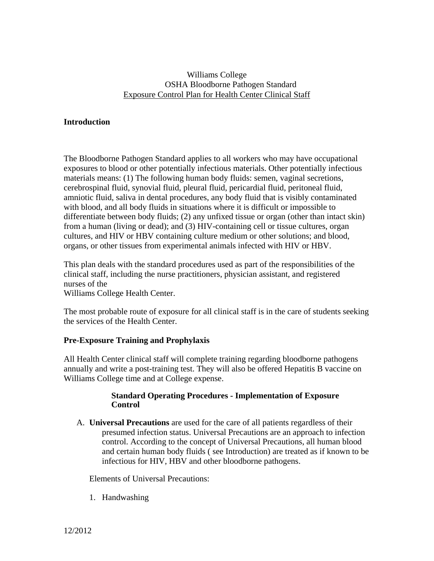## Williams College OSHA Bloodborne Pathogen Standard Exposure Control Plan for Health Center Clinical Staff

## **Introduction**

The Bloodborne Pathogen Standard applies to all workers who may have occupational exposures to blood or other potentially infectious materials. Other potentially infectious materials means: (1) The following human body fluids: semen, vaginal secretions, cerebrospinal fluid, synovial fluid, pleural fluid, pericardial fluid, peritoneal fluid, amniotic fluid, saliva in dental procedures, any body fluid that is visibly contaminated with blood, and all body fluids in situations where it is difficult or impossible to differentiate between body fluids; (2) any unfixed tissue or organ (other than intact skin) from a human (living or dead); and (3) HIV-containing cell or tissue cultures, organ cultures, and HIV or HBV containing culture medium or other solutions; and blood, organs, or other tissues from experimental animals infected with HIV or HBV.

This plan deals with the standard procedures used as part of the responsibilities of the clinical staff, including the nurse practitioners, physician assistant, and registered nurses of the

Williams College Health Center.

The most probable route of exposure for all clinical staff is in the care of students seeking the services of the Health Center.

## **Pre-Exposure Training and Prophylaxis**

All Health Center clinical staff will complete training regarding bloodborne pathogens annually and write a post-training test. They will also be offered Hepatitis B vaccine on Williams College time and at College expense.

## **Standard Operating Procedures - Implementation of Exposure Control**

A. **Universal Precautions** are used for the care of all patients regardless of their presumed infection status. Universal Precautions are an approach to infection control. According to the concept of Universal Precautions, all human blood and certain human body fluids ( see Introduction) are treated as if known to be infectious for HIV, HBV and other bloodborne pathogens.

Elements of Universal Precautions:

1. Handwashing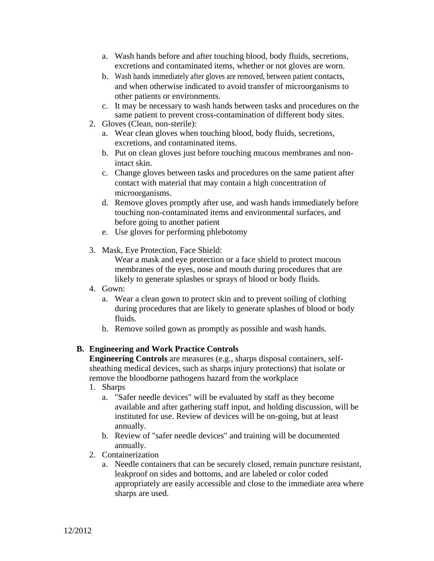- a. Wash hands before and after touching blood, body fluids, secretions, excretions and contaminated items, whether or not gloves are worn.
- b. Wash hands immediately after gloves are removed, between patient contacts, and when otherwise indicated to avoid transfer of microorganisms to other patients or environments.
- c. It may be necessary to wash hands between tasks and procedures on the same patient to prevent cross-contamination of different body sites.
- 2. Gloves (Clean, non-sterile):
	- a. Wear clean gloves when touching blood, body fluids, secretions, excretions, and contaminated items.
	- b. Put on clean gloves just before touching mucous membranes and nonintact skin.
	- c. Change gloves between tasks and procedures on the same patient after contact with material that may contain a high concentration of microorganisms.
	- d. Remove gloves promptly after use, and wash hands immediately before touching non-contaminated items and environmental surfaces, and before going to another patient
	- e. Use gloves for performing phlebotomy
- 3. Mask, Eye Protection, Face Shield:

Wear a mask and eye protection or a face shield to protect mucous membranes of the eyes, nose and mouth during procedures that are likely to generate splashes or sprays of blood or body fluids.

- 4. Gown:
	- a. Wear a clean gown to protect skin and to prevent soiling of clothing during procedures that are likely to generate splashes of blood or body fluids.
	- b. Remove soiled gown as promptly as possible and wash hands.

## **B. Engineering and Work Practice Controls**

**Engineering Controls** are measures (e.g., sharps disposal containers, selfsheathing medical devices, such as sharps injury protections) that isolate or remove the bloodborne pathogens hazard from the workplace

- 1. Sharps
	- a. "Safer needle devices" will be evaluated by staff as they become available and after gathering staff input, and holding discussion, will be instituted for use. Review of devices will be on-going, but at least annually.
	- b. Review of "safer needle devices" and training will be documented annually.
- 2. Containerization
	- a. Needle containers that can be securely closed, remain puncture resistant, leakproof on sides and bottoms, and are labeled or color coded appropriately are easily accessible and close to the immediate area where sharps are used.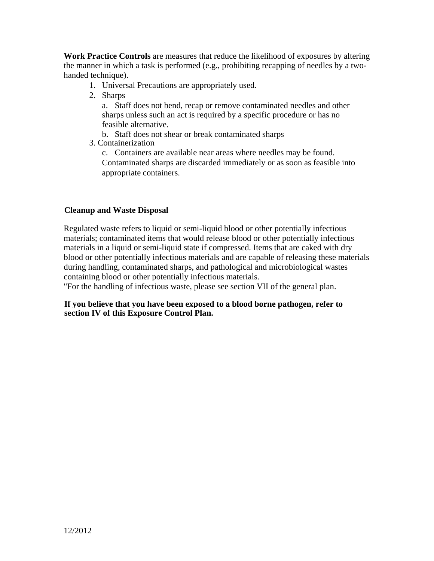**Work Practice Controls** are measures that reduce the likelihood of exposures by altering the manner in which a task is performed (e.g., prohibiting recapping of needles by a twohanded technique).

- 1. Universal Precautions are appropriately used.
- 2. Sharps

a. Staff does not bend, recap or remove contaminated needles and other sharps unless such an act is required by a specific procedure or has no feasible alternative.

b. Staff does not shear or break contaminated sharps

3. Containerization

c. Containers are available near areas where needles may be found. Contaminated sharps are discarded immediately or as soon as feasible into appropriate containers.

# **Cleanup and Waste Disposal**

Regulated waste refers to liquid or semi-liquid blood or other potentially infectious materials; contaminated items that would release blood or other potentially infectious materials in a liquid or semi-liquid state if compressed. Items that are caked with dry blood or other potentially infectious materials and are capable of releasing these materials during handling, contaminated sharps, and pathological and microbiological wastes containing blood or other potentially infectious materials.

"For the handling of infectious waste, please see section VII of the general plan.

## **If you believe that you have been exposed to a blood borne pathogen, refer to section IV of this Exposure Control Plan.**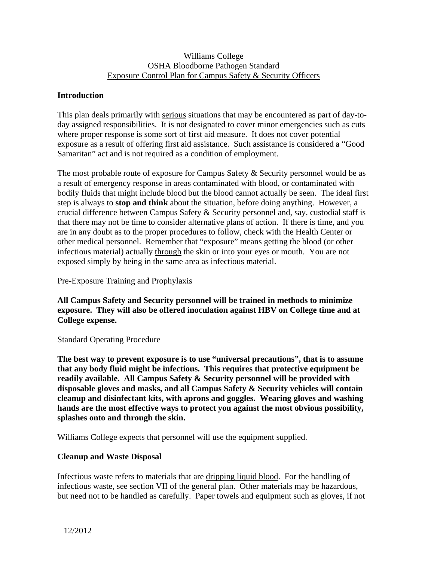## Williams College OSHA Bloodborne Pathogen Standard Exposure Control Plan for Campus Safety & Security Officers

### **Introduction**

This plan deals primarily with serious situations that may be encountered as part of day-today assigned responsibilities. It is not designated to cover minor emergencies such as cuts where proper response is some sort of first aid measure. It does not cover potential exposure as a result of offering first aid assistance. Such assistance is considered a "Good Samaritan" act and is not required as a condition of employment.

The most probable route of exposure for Campus Safety & Security personnel would be as a result of emergency response in areas contaminated with blood, or contaminated with bodily fluids that might include blood but the blood cannot actually be seen. The ideal first step is always to **stop and think** about the situation, before doing anything. However, a crucial difference between Campus Safety & Security personnel and, say, custodial staff is that there may not be time to consider alternative plans of action. If there is time, and you are in any doubt as to the proper procedures to follow, check with the Health Center or other medical personnel. Remember that "exposure" means getting the blood (or other infectious material) actually through the skin or into your eyes or mouth. You are not exposed simply by being in the same area as infectious material.

Pre-Exposure Training and Prophylaxis

**All Campus Safety and Security personnel will be trained in methods to minimize exposure. They will also be offered inoculation against HBV on College time and at College expense.**

Standard Operating Procedure

**The best way to prevent exposure is to use "universal precautions", that is to assume that any body fluid might be infectious. This requires that protective equipment be readily available. All Campus Safety & Security personnel will be provided with disposable gloves and masks, and all Campus Safety & Security vehicles will contain cleanup and disinfectant kits, with aprons and goggles. Wearing gloves and washing hands are the most effective ways to protect you against the most obvious possibility, splashes onto and through the skin.**

Williams College expects that personnel will use the equipment supplied.

### **Cleanup and Waste Disposal**

Infectious waste refers to materials that are dripping liquid blood. For the handling of infectious waste, see section VII of the general plan. Other materials may be hazardous, but need not to be handled as carefully. Paper towels and equipment such as gloves, if not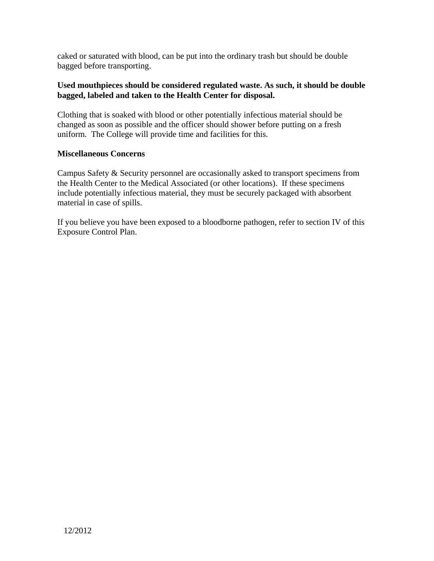caked or saturated with blood, can be put into the ordinary trash but should be double bagged before transporting.

### **Used mouthpieces should be considered regulated waste. As such, it should be double bagged, labeled and taken to the Health Center for disposal.**

Clothing that is soaked with blood or other potentially infectious material should be changed as soon as possible and the officer should shower before putting on a fresh uniform. The College will provide time and facilities for this.

## **Miscellaneous Concerns**

Campus Safety & Security personnel are occasionally asked to transport specimens from the Health Center to the Medical Associated (or other locations). If these specimens include potentially infectious material, they must be securely packaged with absorbent material in case of spills.

If you believe you have been exposed to a bloodborne pathogen, refer to section IV of this Exposure Control Plan.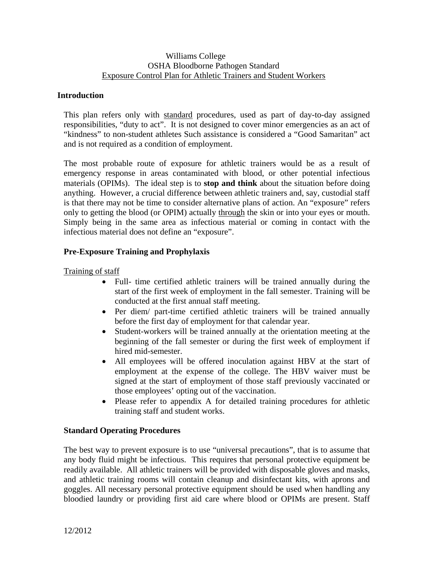### Williams College OSHA Bloodborne Pathogen Standard Exposure Control Plan for Athletic Trainers and Student Workers

### **Introduction**

This plan refers only with standard procedures, used as part of day-to-day assigned responsibilities, "duty to act". It is not designed to cover minor emergencies as an act of "kindness" to non-student athletes Such assistance is considered a "Good Samaritan" act and is not required as a condition of employment.

The most probable route of exposure for athletic trainers would be as a result of emergency response in areas contaminated with blood, or other potential infectious materials (OPIMs). The ideal step is to **stop and think** about the situation before doing anything. However, a crucial difference between athletic trainers and, say, custodial staff is that there may not be time to consider alternative plans of action. An "exposure" refers only to getting the blood (or OPIM) actually through the skin or into your eyes or mouth. Simply being in the same area as infectious material or coming in contact with the infectious material does not define an "exposure".

## **Pre-Exposure Training and Prophylaxis**

Training of staff

- Full- time certified athletic trainers will be trained annually during the start of the first week of employment in the fall semester. Training will be conducted at the first annual staff meeting.
- Per diem/ part-time certified athletic trainers will be trained annually before the first day of employment for that calendar year.
- Student-workers will be trained annually at the orientation meeting at the beginning of the fall semester or during the first week of employment if hired mid-semester.
- All employees will be offered inoculation against HBV at the start of employment at the expense of the college. The HBV waiver must be signed at the start of employment of those staff previously vaccinated or those employees' opting out of the vaccination.
- Please refer to appendix A for detailed training procedures for athletic training staff and student works.

## **Standard Operating Procedures**

The best way to prevent exposure is to use "universal precautions", that is to assume that any body fluid might be infectious. This requires that personal protective equipment be readily available. All athletic trainers will be provided with disposable gloves and masks, and athletic training rooms will contain cleanup and disinfectant kits, with aprons and goggles. All necessary personal protective equipment should be used when handling any bloodied laundry or providing first aid care where blood or OPIMs are present. Staff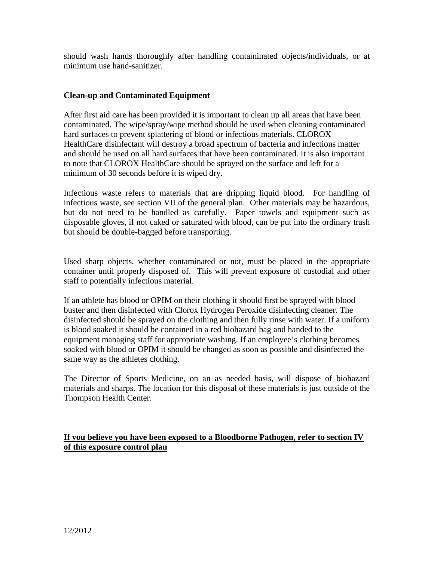should wash hands thoroughly after handling contaminated objects/individuals, or at minimum use hand-sanitizer.

## **Clean-up and Contaminated Equipment**

After first aid care has been provided it is important to clean up all areas that have been contaminated. The wipe/spray/wipe method should be used when cleaning contaminated hard surfaces to prevent splattering of blood or infectious materials. CLOROX HealthCare disinfectant will destroy a broad spectrum of bacteria and infections matter and should be used on all hard surfaces that have been contaminated. It is also important to note that CLOROX HealthCare should be sprayed on the surface and left for a minimum of 30 seconds before it is wiped dry.

Infectious waste refers to materials that are dripping liquid blood. For handling of infectious waste, see section VII of the general plan. Other materials may be hazardous, but do not need to be handled as carefully. Paper towels and equipment such as disposable gloves, if not caked or saturated with blood, can be put into the ordinary trash but should be double-bagged before transporting.

Used sharp objects, whether contaminated or not, must be placed in the appropriate container until properly disposed of. This will prevent exposure of custodial and other staff to potentially infectious material.

If an athlete has blood or OPIM on their clothing it should first be sprayed with blood buster and then disinfected with Clorox Hydrogen Peroxide disinfecting cleaner. The disinfected should be sprayed on the clothing and then fully rinse with water. If a uniform is blood soaked it should be contained in a red biohazard bag and handed to the equipment managing staff for appropriate washing. If an employee's clothing becomes soaked with blood or OPIM it should be changed as soon as possible and disinfected the same way as the athletes clothing.

The Director of Sports Medicine, on an as needed basis, will dispose of biohazard materials and sharps. The location for this disposal of these materials is just outside of the Thompson Health Center.

**If you believe you have been exposed to a Bloodborne Pathogen, refer to section IV of this exposure control plan**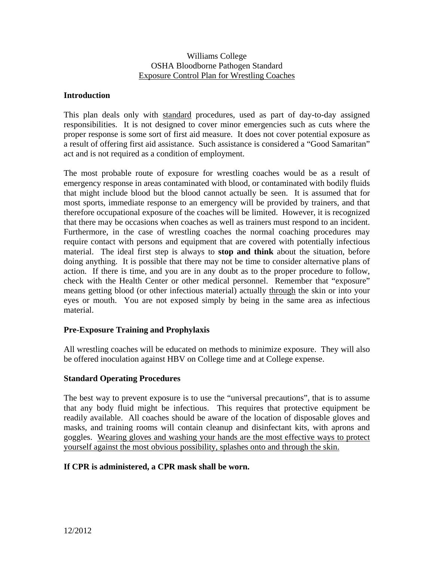### Williams College OSHA Bloodborne Pathogen Standard Exposure Control Plan for Wrestling Coaches

## **Introduction**

This plan deals only with standard procedures, used as part of day-to-day assigned responsibilities. It is not designed to cover minor emergencies such as cuts where the proper response is some sort of first aid measure. It does not cover potential exposure as a result of offering first aid assistance. Such assistance is considered a "Good Samaritan" act and is not required as a condition of employment.

The most probable route of exposure for wrestling coaches would be as a result of emergency response in areas contaminated with blood, or contaminated with bodily fluids that might include blood but the blood cannot actually be seen. It is assumed that for most sports, immediate response to an emergency will be provided by trainers, and that therefore occupational exposure of the coaches will be limited. However, it is recognized that there may be occasions when coaches as well as trainers must respond to an incident. Furthermore, in the case of wrestling coaches the normal coaching procedures may require contact with persons and equipment that are covered with potentially infectious material. The ideal first step is always to **stop and think** about the situation, before doing anything. It is possible that there may not be time to consider alternative plans of action. If there is time, and you are in any doubt as to the proper procedure to follow, check with the Health Center or other medical personnel. Remember that "exposure" means getting blood (or other infectious material) actually through the skin or into your eyes or mouth. You are not exposed simply by being in the same area as infectious material.

### **Pre-Exposure Training and Prophylaxis**

All wrestling coaches will be educated on methods to minimize exposure. They will also be offered inoculation against HBV on College time and at College expense.

### **Standard Operating Procedures**

The best way to prevent exposure is to use the "universal precautions", that is to assume that any body fluid might be infectious. This requires that protective equipment be readily available. All coaches should be aware of the location of disposable gloves and masks, and training rooms will contain cleanup and disinfectant kits, with aprons and goggles. Wearing gloves and washing your hands are the most effective ways to protect yourself against the most obvious possibility, splashes onto and through the skin.

### **If CPR is administered, a CPR mask shall be worn.**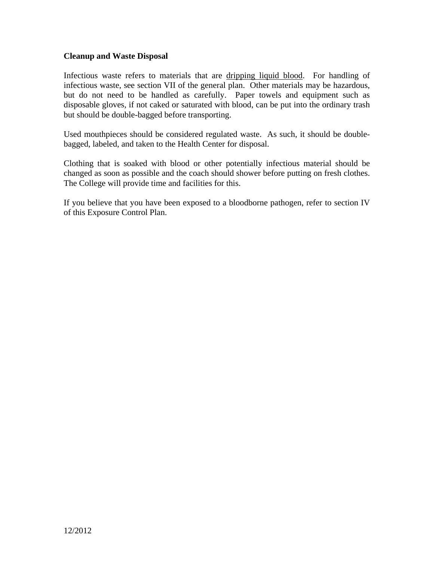## **Cleanup and Waste Disposal**

Infectious waste refers to materials that are dripping liquid blood. For handling of infectious waste, see section VII of the general plan. Other materials may be hazardous, but do not need to be handled as carefully. Paper towels and equipment such as disposable gloves, if not caked or saturated with blood, can be put into the ordinary trash but should be double-bagged before transporting.

Used mouthpieces should be considered regulated waste. As such, it should be doublebagged, labeled, and taken to the Health Center for disposal.

Clothing that is soaked with blood or other potentially infectious material should be changed as soon as possible and the coach should shower before putting on fresh clothes. The College will provide time and facilities for this.

If you believe that you have been exposed to a bloodborne pathogen, refer to section IV of this Exposure Control Plan.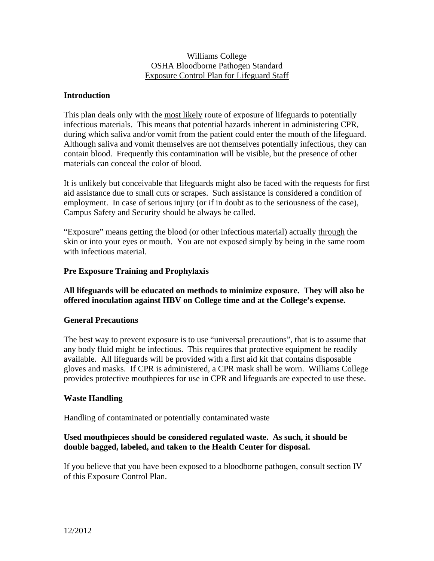### Williams College OSHA Bloodborne Pathogen Standard Exposure Control Plan for Lifeguard Staff

## **Introduction**

This plan deals only with the most likely route of exposure of lifeguards to potentially infectious materials. This means that potential hazards inherent in administering CPR, during which saliva and/or vomit from the patient could enter the mouth of the lifeguard. Although saliva and vomit themselves are not themselves potentially infectious, they can contain blood. Frequently this contamination will be visible, but the presence of other materials can conceal the color of blood.

It is unlikely but conceivable that lifeguards might also be faced with the requests for first aid assistance due to small cuts or scrapes. Such assistance is considered a condition of employment. In case of serious injury (or if in doubt as to the seriousness of the case), Campus Safety and Security should be always be called.

"Exposure" means getting the blood (or other infectious material) actually through the skin or into your eyes or mouth. You are not exposed simply by being in the same room with infectious material.

## **Pre Exposure Training and Prophylaxis**

## **All lifeguards will be educated on methods to minimize exposure. They will also be offered inoculation against HBV on College time and at the College's expense.**

### **General Precautions**

The best way to prevent exposure is to use "universal precautions", that is to assume that any body fluid might be infectious. This requires that protective equipment be readily available. All lifeguards will be provided with a first aid kit that contains disposable gloves and masks. If CPR is administered, a CPR mask shall be worn. Williams College provides protective mouthpieces for use in CPR and lifeguards are expected to use these.

### **Waste Handling**

Handling of contaminated or potentially contaminated waste

## **Used mouthpieces should be considered regulated waste. As such, it should be double bagged, labeled, and taken to the Health Center for disposal.**

If you believe that you have been exposed to a bloodborne pathogen, consult section IV of this Exposure Control Plan.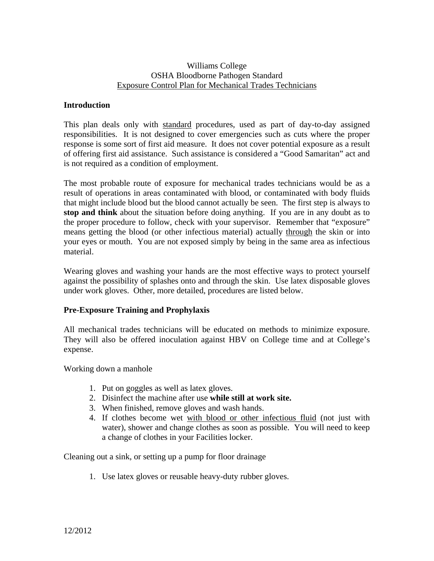### Williams College OSHA Bloodborne Pathogen Standard Exposure Control Plan for Mechanical Trades Technicians

## **Introduction**

This plan deals only with standard procedures, used as part of day-to-day assigned responsibilities. It is not designed to cover emergencies such as cuts where the proper response is some sort of first aid measure. It does not cover potential exposure as a result of offering first aid assistance. Such assistance is considered a "Good Samaritan" act and is not required as a condition of employment.

The most probable route of exposure for mechanical trades technicians would be as a result of operations in areas contaminated with blood, or contaminated with body fluids that might include blood but the blood cannot actually be seen. The first step is always to **stop and think** about the situation before doing anything. If you are in any doubt as to the proper procedure to follow, check with your supervisor. Remember that "exposure" means getting the blood (or other infectious material) actually through the skin or into your eyes or mouth. You are not exposed simply by being in the same area as infectious material.

Wearing gloves and washing your hands are the most effective ways to protect yourself against the possibility of splashes onto and through the skin. Use latex disposable gloves under work gloves. Other, more detailed, procedures are listed below.

## **Pre-Exposure Training and Prophylaxis**

All mechanical trades technicians will be educated on methods to minimize exposure. They will also be offered inoculation against HBV on College time and at College's expense.

Working down a manhole

- 1. Put on goggles as well as latex gloves.
- 2. Disinfect the machine after use **while still at work site.**
- 3. When finished, remove gloves and wash hands.
- 4. If clothes become wet with blood or other infectious fluid (not just with water), shower and change clothes as soon as possible. You will need to keep a change of clothes in your Facilities locker.

Cleaning out a sink, or setting up a pump for floor drainage

1. Use latex gloves or reusable heavy-duty rubber gloves.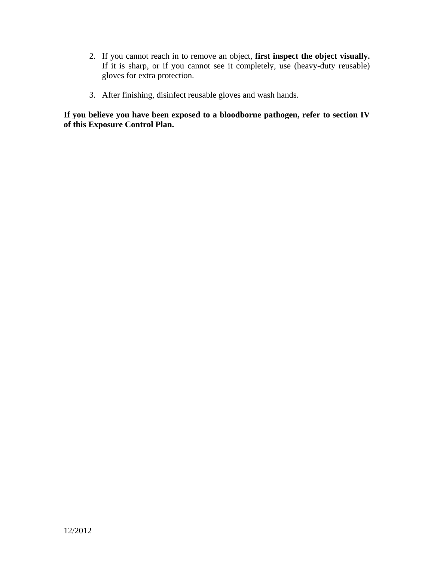- 2. If you cannot reach in to remove an object, **first inspect the object visually.** If it is sharp, or if you cannot see it completely, use (heavy-duty reusable) gloves for extra protection.
- 3. After finishing, disinfect reusable gloves and wash hands.

**If you believe you have been exposed to a bloodborne pathogen, refer to section IV of this Exposure Control Plan.**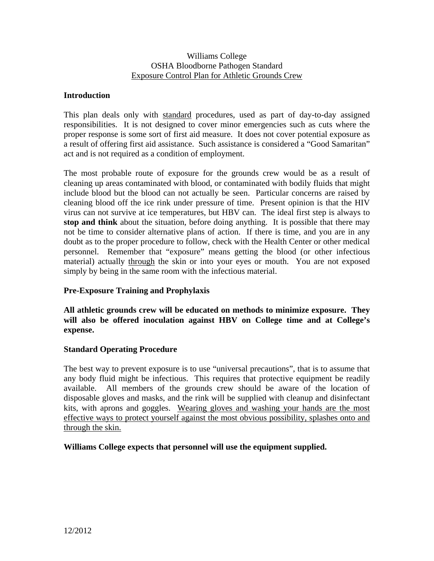### Williams College OSHA Bloodborne Pathogen Standard Exposure Control Plan for Athletic Grounds Crew

## **Introduction**

This plan deals only with standard procedures, used as part of day-to-day assigned responsibilities. It is not designed to cover minor emergencies such as cuts where the proper response is some sort of first aid measure. It does not cover potential exposure as a result of offering first aid assistance. Such assistance is considered a "Good Samaritan" act and is not required as a condition of employment.

The most probable route of exposure for the grounds crew would be as a result of cleaning up areas contaminated with blood, or contaminated with bodily fluids that might include blood but the blood can not actually be seen. Particular concerns are raised by cleaning blood off the ice rink under pressure of time. Present opinion is that the HIV virus can not survive at ice temperatures, but HBV can. The ideal first step is always to **stop and think** about the situation, before doing anything. It is possible that there may not be time to consider alternative plans of action. If there is time, and you are in any doubt as to the proper procedure to follow, check with the Health Center or other medical personnel. Remember that "exposure" means getting the blood (or other infectious material) actually through the skin or into your eyes or mouth. You are not exposed simply by being in the same room with the infectious material.

## **Pre-Exposure Training and Prophylaxis**

**All athletic grounds crew will be educated on methods to minimize exposure. They will also be offered inoculation against HBV on College time and at College's expense.**

## **Standard Operating Procedure**

The best way to prevent exposure is to use "universal precautions", that is to assume that any body fluid might be infectious. This requires that protective equipment be readily available. All members of the grounds crew should be aware of the location of disposable gloves and masks, and the rink will be supplied with cleanup and disinfectant kits, with aprons and goggles. Wearing gloves and washing your hands are the most effective ways to protect yourself against the most obvious possibility, splashes onto and through the skin.

## **Williams College expects that personnel will use the equipment supplied.**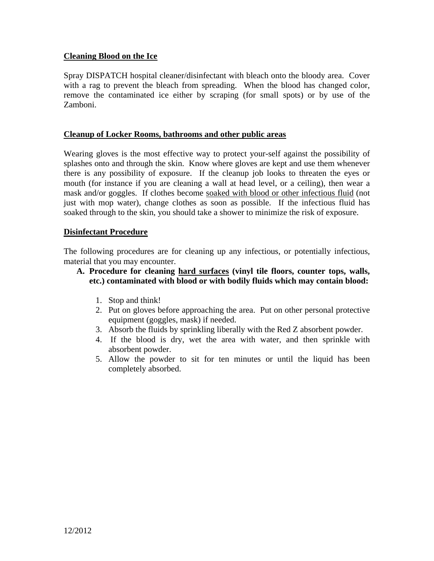## **Cleaning Blood on the Ice**

Spray DISPATCH hospital cleaner/disinfectant with bleach onto the bloody area. Cover with a rag to prevent the bleach from spreading. When the blood has changed color, remove the contaminated ice either by scraping (for small spots) or by use of the Zamboni.

### **Cleanup of Locker Rooms, bathrooms and other public areas**

Wearing gloves is the most effective way to protect your-self against the possibility of splashes onto and through the skin. Know where gloves are kept and use them whenever there is any possibility of exposure. If the cleanup job looks to threaten the eyes or mouth (for instance if you are cleaning a wall at head level, or a ceiling), then wear a mask and/or goggles. If clothes become soaked with blood or other infectious fluid (not just with mop water), change clothes as soon as possible. If the infectious fluid has soaked through to the skin, you should take a shower to minimize the risk of exposure.

#### **Disinfectant Procedure**

The following procedures are for cleaning up any infectious, or potentially infectious, material that you may encounter.

- **A. Procedure for cleaning hard surfaces (vinyl tile floors, counter tops, walls, etc.) contaminated with blood or with bodily fluids which may contain blood:**
	- 1. Stop and think!
	- 2. Put on gloves before approaching the area. Put on other personal protective equipment (goggles, mask) if needed.
	- 3. Absorb the fluids by sprinkling liberally with the Red Z absorbent powder.
	- 4. If the blood is dry, wet the area with water, and then sprinkle with absorbent powder.
	- 5. Allow the powder to sit for ten minutes or until the liquid has been completely absorbed.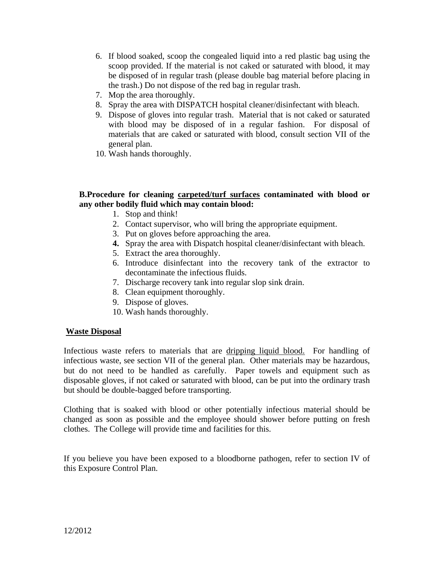- 6. If blood soaked, scoop the congealed liquid into a red plastic bag using the scoop provided. If the material is not caked or saturated with blood, it may be disposed of in regular trash (please double bag material before placing in the trash.) Do not dispose of the red bag in regular trash.
- 7. Mop the area thoroughly.
- 8. Spray the area with DISPATCH hospital cleaner/disinfectant with bleach.
- 9. Dispose of gloves into regular trash. Material that is not caked or saturated with blood may be disposed of in a regular fashion. For disposal of materials that are caked or saturated with blood, consult section VII of the general plan.
- 10. Wash hands thoroughly.

## **B.Procedure for cleaning carpeted/turf surfaces contaminated with blood or any other bodily fluid which may contain blood:**

- 1. Stop and think!
- 2. Contact supervisor, who will bring the appropriate equipment.
- 3. Put on gloves before approaching the area.
- **4.** Spray the area with Dispatch hospital cleaner/disinfectant with bleach.
- 5. Extract the area thoroughly.
- 6. Introduce disinfectant into the recovery tank of the extractor to decontaminate the infectious fluids.
- 7. Discharge recovery tank into regular slop sink drain.
- 8. Clean equipment thoroughly.
- 9. Dispose of gloves.
- 10. Wash hands thoroughly.

## **Waste Disposal**

Infectious waste refers to materials that are dripping liquid blood. For handling of infectious waste, see section VII of the general plan. Other materials may be hazardous, but do not need to be handled as carefully. Paper towels and equipment such as disposable gloves, if not caked or saturated with blood, can be put into the ordinary trash but should be double-bagged before transporting.

Clothing that is soaked with blood or other potentially infectious material should be changed as soon as possible and the employee should shower before putting on fresh clothes. The College will provide time and facilities for this.

If you believe you have been exposed to a bloodborne pathogen, refer to section IV of this Exposure Control Plan.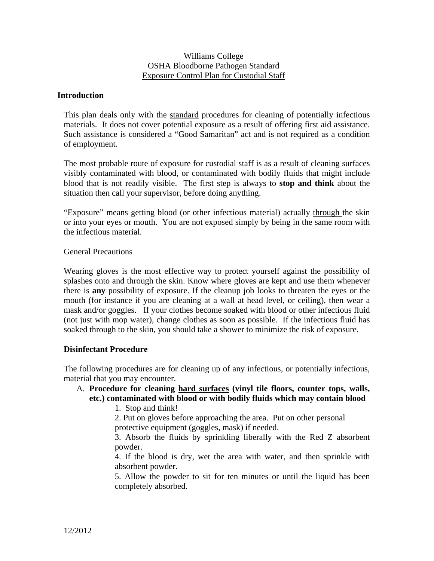### Williams College OSHA Bloodborne Pathogen Standard Exposure Control Plan for Custodial Staff

#### **Introduction**

This plan deals only with the standard procedures for cleaning of potentially infectious materials. It does not cover potential exposure as a result of offering first aid assistance. Such assistance is considered a "Good Samaritan" act and is not required as a condition of employment.

The most probable route of exposure for custodial staff is as a result of cleaning surfaces visibly contaminated with blood, or contaminated with bodily fluids that might include blood that is not readily visible. The first step is always to **stop and think** about the situation then call your supervisor, before doing anything.

"Exposure" means getting blood (or other infectious material) actually through the skin or into your eyes or mouth. You are not exposed simply by being in the same room with the infectious material.

#### General Precautions

Wearing gloves is the most effective way to protect yourself against the possibility of splashes onto and through the skin. Know where gloves are kept and use them whenever there is **any** possibility of exposure. If the cleanup job looks to threaten the eyes or the mouth (for instance if you are cleaning at a wall at head level, or ceiling), then wear a mask and/or goggles. If your clothes become soaked with blood or other infectious fluid (not just with mop water), change clothes as soon as possible. If the infectious fluid has soaked through to the skin, you should take a shower to minimize the risk of exposure.

### **Disinfectant Procedure**

The following procedures are for cleaning up of any infectious, or potentially infectious, material that you may encounter.

A. **Procedure for cleaning hard surfaces (vinyl tile floors, counter tops, walls, etc.) contaminated with blood or with bodily fluids which may contain blood**

1. Stop and think!

2. Put on gloves before approaching the area. Put on other personal protective equipment (goggles, mask) if needed.

3. Absorb the fluids by sprinkling liberally with the Red Z absorbent powder.

4. If the blood is dry, wet the area with water, and then sprinkle with absorbent powder.

5. Allow the powder to sit for ten minutes or until the liquid has been completely absorbed.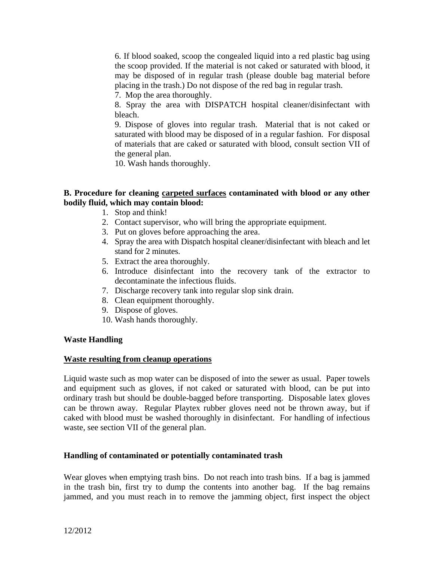6. If blood soaked, scoop the congealed liquid into a red plastic bag using the scoop provided. If the material is not caked or saturated with blood, it may be disposed of in regular trash (please double bag material before placing in the trash.) Do not dispose of the red bag in regular trash.

7. Mop the area thoroughly.

8. Spray the area with DISPATCH hospital cleaner/disinfectant with bleach.

9. Dispose of gloves into regular trash. Material that is not caked or saturated with blood may be disposed of in a regular fashion. For disposal of materials that are caked or saturated with blood, consult section VII of the general plan.

10. Wash hands thoroughly.

## **B. Procedure for cleaning carpeted surfaces contaminated with blood or any other bodily fluid, which may contain blood:**

- 1. Stop and think!
- 2. Contact supervisor, who will bring the appropriate equipment.
- 3. Put on gloves before approaching the area.
- 4. Spray the area with Dispatch hospital cleaner/disinfectant with bleach and let stand for 2 minutes.
- 5. Extract the area thoroughly.
- 6. Introduce disinfectant into the recovery tank of the extractor to decontaminate the infectious fluids.
- 7. Discharge recovery tank into regular slop sink drain.
- 8. Clean equipment thoroughly.
- 9. Dispose of gloves.
- 10. Wash hands thoroughly.

### **Waste Handling**

### **Waste resulting from cleanup operations**

Liquid waste such as mop water can be disposed of into the sewer as usual. Paper towels and equipment such as gloves, if not caked or saturated with blood, can be put into ordinary trash but should be double-bagged before transporting. Disposable latex gloves can be thrown away. Regular Playtex rubber gloves need not be thrown away, but if caked with blood must be washed thoroughly in disinfectant. For handling of infectious waste, see section VII of the general plan.

### **Handling of contaminated or potentially contaminated trash**

Wear gloves when emptying trash bins. Do not reach into trash bins. If a bag is jammed in the trash bin, first try to dump the contents into another bag. If the bag remains jammed, and you must reach in to remove the jamming object, first inspect the object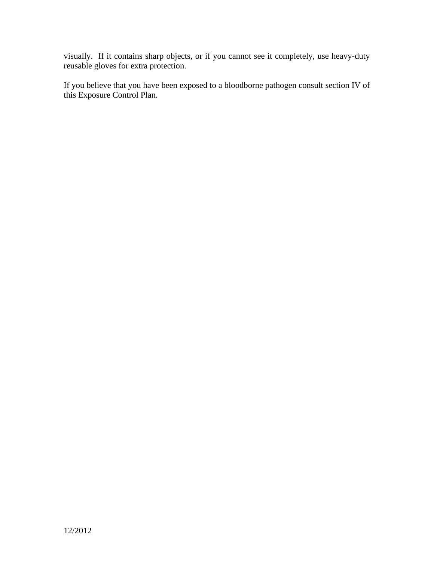visually. If it contains sharp objects, or if you cannot see it completely, use heavy-duty reusable gloves for extra protection.

If you believe that you have been exposed to a bloodborne pathogen consult section IV of this Exposure Control Plan.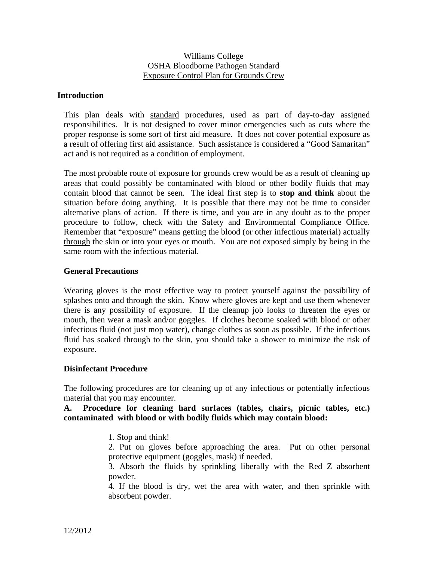### Williams College OSHA Bloodborne Pathogen Standard Exposure Control Plan for Grounds Crew

### **Introduction**

This plan deals with standard procedures, used as part of day-to-day assigned responsibilities. It is not designed to cover minor emergencies such as cuts where the proper response is some sort of first aid measure. It does not cover potential exposure as a result of offering first aid assistance. Such assistance is considered a "Good Samaritan" act and is not required as a condition of employment.

The most probable route of exposure for grounds crew would be as a result of cleaning up areas that could possibly be contaminated with blood or other bodily fluids that may contain blood that cannot be seen. The ideal first step is to **stop and think** about the situation before doing anything. It is possible that there may not be time to consider alternative plans of action. If there is time, and you are in any doubt as to the proper procedure to follow, check with the Safety and Environmental Compliance Office. Remember that "exposure" means getting the blood (or other infectious material) actually through the skin or into your eyes or mouth. You are not exposed simply by being in the same room with the infectious material.

## **General Precautions**

Wearing gloves is the most effective way to protect yourself against the possibility of splashes onto and through the skin. Know where gloves are kept and use them whenever there is any possibility of exposure. If the cleanup job looks to threaten the eyes or mouth, then wear a mask and/or goggles. If clothes become soaked with blood or other infectious fluid (not just mop water), change clothes as soon as possible. If the infectious fluid has soaked through to the skin, you should take a shower to minimize the risk of exposure.

### **Disinfectant Procedure**

The following procedures are for cleaning up of any infectious or potentially infectious material that you may encounter.

**A. Procedure for cleaning hard surfaces (tables, chairs, picnic tables, etc.) contaminated with blood or with bodily fluids which may contain blood:**

1. Stop and think!

2. Put on gloves before approaching the area. Put on other personal protective equipment (goggles, mask) if needed.

3. Absorb the fluids by sprinkling liberally with the Red Z absorbent powder.

4. If the blood is dry, wet the area with water, and then sprinkle with absorbent powder.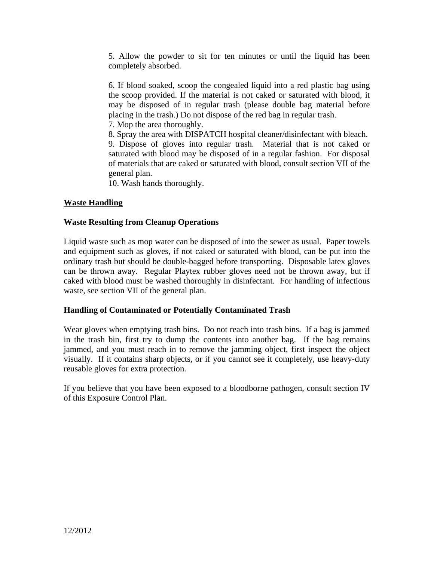5. Allow the powder to sit for ten minutes or until the liquid has been completely absorbed.

6. If blood soaked, scoop the congealed liquid into a red plastic bag using the scoop provided. If the material is not caked or saturated with blood, it may be disposed of in regular trash (please double bag material before placing in the trash.) Do not dispose of the red bag in regular trash.

7. Mop the area thoroughly.

8. Spray the area with DISPATCH hospital cleaner/disinfectant with bleach.

9. Dispose of gloves into regular trash. Material that is not caked or saturated with blood may be disposed of in a regular fashion. For disposal of materials that are caked or saturated with blood, consult section VII of the general plan.

10. Wash hands thoroughly.

# **Waste Handling**

# **Waste Resulting from Cleanup Operations**

Liquid waste such as mop water can be disposed of into the sewer as usual. Paper towels and equipment such as gloves, if not caked or saturated with blood, can be put into the ordinary trash but should be double-bagged before transporting. Disposable latex gloves can be thrown away. Regular Playtex rubber gloves need not be thrown away, but if caked with blood must be washed thoroughly in disinfectant. For handling of infectious waste, see section VII of the general plan.

## **Handling of Contaminated or Potentially Contaminated Trash**

Wear gloves when emptying trash bins. Do not reach into trash bins. If a bag is jammed in the trash bin, first try to dump the contents into another bag. If the bag remains jammed, and you must reach in to remove the jamming object, first inspect the object visually. If it contains sharp objects, or if you cannot see it completely, use heavy-duty reusable gloves for extra protection.

If you believe that you have been exposed to a bloodborne pathogen, consult section IV of this Exposure Control Plan.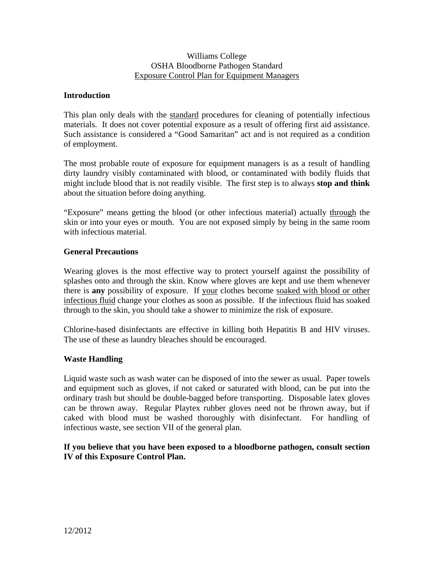### Williams College OSHA Bloodborne Pathogen Standard Exposure Control Plan for Equipment Managers

## **Introduction**

This plan only deals with the standard procedures for cleaning of potentially infectious materials. It does not cover potential exposure as a result of offering first aid assistance. Such assistance is considered a "Good Samaritan" act and is not required as a condition of employment.

The most probable route of exposure for equipment managers is as a result of handling dirty laundry visibly contaminated with blood, or contaminated with bodily fluids that might include blood that is not readily visible. The first step is to always **stop and think** about the situation before doing anything.

"Exposure" means getting the blood (or other infectious material) actually through the skin or into your eyes or mouth. You are not exposed simply by being in the same room with infectious material.

### **General Precautions**

Wearing gloves is the most effective way to protect yourself against the possibility of splashes onto and through the skin. Know where gloves are kept and use them whenever there is **any** possibility of exposure. If your clothes become soaked with blood or other infectious fluid change your clothes as soon as possible. If the infectious fluid has soaked through to the skin, you should take a shower to minimize the risk of exposure.

Chlorine-based disinfectants are effective in killing both Hepatitis B and HIV viruses. The use of these as laundry bleaches should be encouraged.

### **Waste Handling**

Liquid waste such as wash water can be disposed of into the sewer as usual. Paper towels and equipment such as gloves, if not caked or saturated with blood, can be put into the ordinary trash but should be double-bagged before transporting. Disposable latex gloves can be thrown away. Regular Playtex rubber gloves need not be thrown away, but if caked with blood must be washed thoroughly with disinfectant. For handling of infectious waste, see section VII of the general plan.

## **If you believe that you have been exposed to a bloodborne pathogen, consult section IV of this Exposure Control Plan.**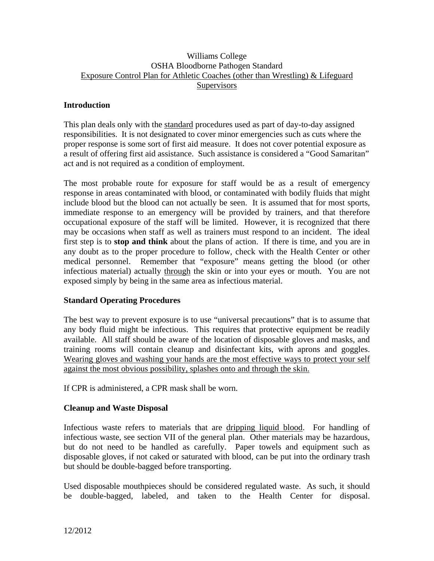## Williams College OSHA Bloodborne Pathogen Standard Exposure Control Plan for Athletic Coaches (other than Wrestling) & Lifeguard **Supervisors**

## **Introduction**

This plan deals only with the standard procedures used as part of day-to-day assigned responsibilities. It is not designated to cover minor emergencies such as cuts where the proper response is some sort of first aid measure. It does not cover potential exposure as a result of offering first aid assistance. Such assistance is considered a "Good Samaritan" act and is not required as a condition of employment.

The most probable route for exposure for staff would be as a result of emergency response in areas contaminated with blood, or contaminated with bodily fluids that might include blood but the blood can not actually be seen. It is assumed that for most sports, immediate response to an emergency will be provided by trainers, and that therefore occupational exposure of the staff will be limited. However, it is recognized that there may be occasions when staff as well as trainers must respond to an incident. The ideal first step is to **stop and think** about the plans of action. If there is time, and you are in any doubt as to the proper procedure to follow, check with the Health Center or other medical personnel. Remember that "exposure" means getting the blood (or other infectious material) actually through the skin or into your eyes or mouth. You are not exposed simply by being in the same area as infectious material.

## **Standard Operating Procedures**

The best way to prevent exposure is to use "universal precautions" that is to assume that any body fluid might be infectious. This requires that protective equipment be readily available. All staff should be aware of the location of disposable gloves and masks, and training rooms will contain cleanup and disinfectant kits, with aprons and goggles. Wearing gloves and washing your hands are the most effective ways to protect your self against the most obvious possibility, splashes onto and through the skin.

If CPR is administered, a CPR mask shall be worn.

## **Cleanup and Waste Disposal**

Infectious waste refers to materials that are dripping liquid blood. For handling of infectious waste, see section VII of the general plan. Other materials may be hazardous, but do not need to be handled as carefully. Paper towels and equipment such as disposable gloves, if not caked or saturated with blood, can be put into the ordinary trash but should be double-bagged before transporting.

Used disposable mouthpieces should be considered regulated waste. As such, it should be double-bagged, labeled, and taken to the Health Center for disposal.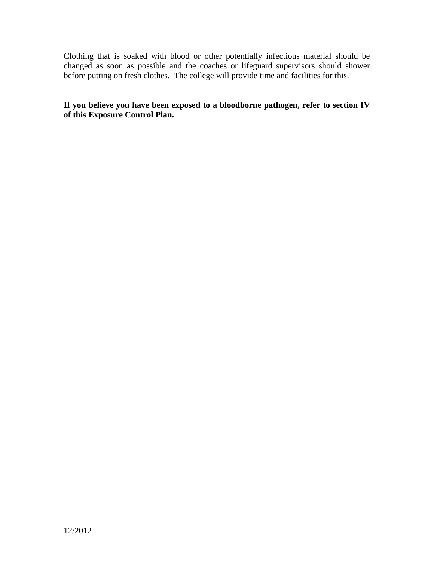Clothing that is soaked with blood or other potentially infectious material should be changed as soon as possible and the coaches or lifeguard supervisors should shower before putting on fresh clothes. The college will provide time and facilities for this.

**If you believe you have been exposed to a bloodborne pathogen, refer to section IV of this Exposure Control Plan.**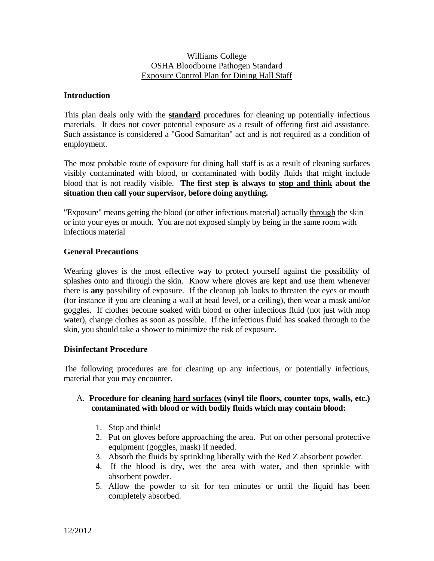### Williams College OSHA Bloodborne Pathogen Standard Exposure Control Plan for Dining Hall Staff

## **Introduction**

This plan deals only with the **standard** procedures for cleaning up potentially infectious materials. It does not cover potential exposure as a result of offering first aid assistance. Such assistance is considered a "Good Samaritan" act and is not required as a condition of employment.

The most probable route of exposure for dining hall staff is as a result of cleaning surfaces visibly contaminated with blood, or contaminated with bodily fluids that might include blood that is not readily visible. **The first step is always to stop and think about the situation then call your supervisor, before doing anything.**

"Exposure" means getting the blood (or other infectious material) actually through the skin or into your eyes or mouth. You are not exposed simply by being in the same room with infectious material

## **General Precautions**

Wearing gloves is the most effective way to protect yourself against the possibility of splashes onto and through the skin. Know where gloves are kept and use them whenever there is **any** possibility of exposure. If the cleanup job looks to threaten the eyes or mouth (for instance if you are cleaning a wall at head level, or a ceiling), then wear a mask and/or goggles. If clothes become soaked with blood or other infectious fluid (not just with mop water), change clothes as soon as possible. If the infectious fluid has soaked through to the skin, you should take a shower to minimize the risk of exposure.

### **Disinfectant Procedure**

The following procedures are for cleaning up any infectious, or potentially infectious, material that you may encounter.

### A. **Procedure for cleaning hard surfaces (vinyl tile floors, counter tops, walls, etc.) contaminated with blood or with bodily fluids which may contain blood:**

- 1. Stop and think!
- 2. Put on gloves before approaching the area. Put on other personal protective equipment (goggles, mask) if needed.
- 3. Absorb the fluids by sprinkling liberally with the Red Z absorbent powder.
- 4. If the blood is dry, wet the area with water, and then sprinkle with absorbent powder.
- 5. Allow the powder to sit for ten minutes or until the liquid has been completely absorbed.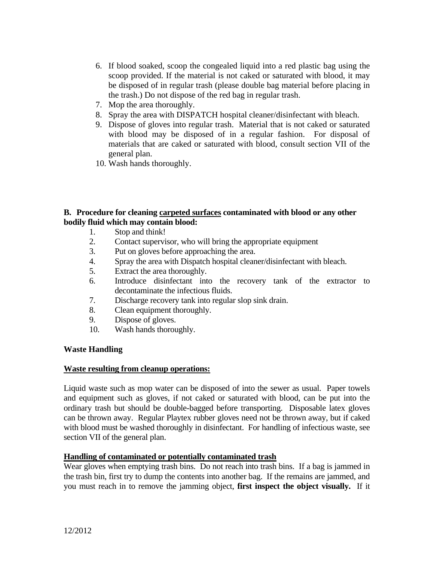- 6. If blood soaked, scoop the congealed liquid into a red plastic bag using the scoop provided. If the material is not caked or saturated with blood, it may be disposed of in regular trash (please double bag material before placing in the trash.) Do not dispose of the red bag in regular trash.
- 7. Mop the area thoroughly.
- 8. Spray the area with DISPATCH hospital cleaner/disinfectant with bleach.
- 9. Dispose of gloves into regular trash. Material that is not caked or saturated with blood may be disposed of in a regular fashion. For disposal of materials that are caked or saturated with blood, consult section VII of the general plan.
- 10. Wash hands thoroughly.

## **B. Procedure for cleaning carpeted surfaces contaminated with blood or any other bodily fluid which may contain blood:**

- 1. Stop and think!
- 2. Contact supervisor, who will bring the appropriate equipment
- 3. Put on gloves before approaching the area.
- 4. Spray the area with Dispatch hospital cleaner/disinfectant with bleach.
- 5. Extract the area thoroughly.
- 6. Introduce disinfectant into the recovery tank of the extractor to decontaminate the infectious fluids.
- 7. Discharge recovery tank into regular slop sink drain.
- 8. Clean equipment thoroughly.
- 9. Dispose of gloves.
- 10. Wash hands thoroughly.

### **Waste Handling**

### **Waste resulting from cleanup operations:**

Liquid waste such as mop water can be disposed of into the sewer as usual. Paper towels and equipment such as gloves, if not caked or saturated with blood, can be put into the ordinary trash but should be double-bagged before transporting. Disposable latex gloves can be thrown away. Regular Playtex rubber gloves need not be thrown away, but if caked with blood must be washed thoroughly in disinfectant. For handling of infectious waste, see section VII of the general plan.

### **Handling of contaminated or potentially contaminated trash**

Wear gloves when emptying trash bins. Do not reach into trash bins. If a bag is jammed in the trash bin, first try to dump the contents into another bag. If the remains are jammed, and you must reach in to remove the jamming object, **first inspect the object visually.** If it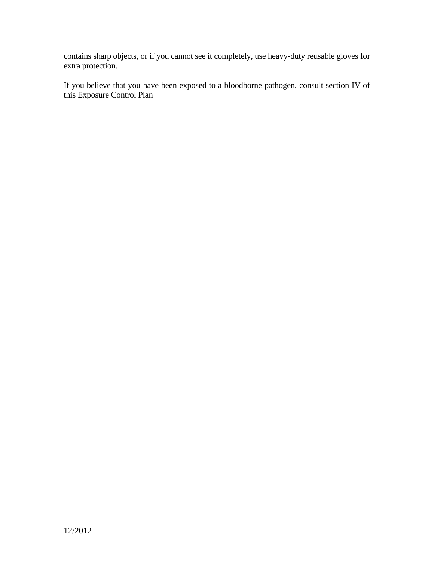contains sharp objects, or if you cannot see it completely, use heavy-duty reusable gloves for extra protection.

If you believe that you have been exposed to a bloodborne pathogen, consult section IV of this Exposure Control Plan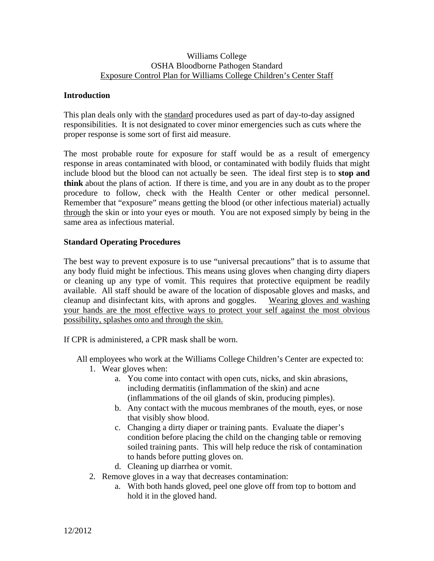### Williams College OSHA Bloodborne Pathogen Standard Exposure Control Plan for Williams College Children's Center Staff

## **Introduction**

This plan deals only with the standard procedures used as part of day-to-day assigned responsibilities. It is not designated to cover minor emergencies such as cuts where the proper response is some sort of first aid measure.

The most probable route for exposure for staff would be as a result of emergency response in areas contaminated with blood, or contaminated with bodily fluids that might include blood but the blood can not actually be seen. The ideal first step is to **stop and think** about the plans of action. If there is time, and you are in any doubt as to the proper procedure to follow, check with the Health Center or other medical personnel. Remember that "exposure" means getting the blood (or other infectious material) actually through the skin or into your eyes or mouth. You are not exposed simply by being in the same area as infectious material.

## **Standard Operating Procedures**

The best way to prevent exposure is to use "universal precautions" that is to assume that any body fluid might be infectious. This means using gloves when changing dirty diapers or cleaning up any type of vomit. This requires that protective equipment be readily available. All staff should be aware of the location of disposable gloves and masks, and cleanup and disinfectant kits, with aprons and goggles. Wearing gloves and washing your hands are the most effective ways to protect your self against the most obvious possibility, splashes onto and through the skin.

If CPR is administered, a CPR mask shall be worn.

All employees who work at the Williams College Children's Center are expected to:

- 1. Wear gloves when:
	- a. You come into contact with open cuts, nicks, and skin abrasions, including dermatitis (inflammation of the skin) and acne (inflammations of the oil glands of skin, producing pimples).
	- b. Any contact with the mucous membranes of the mouth, eyes, or nose that visibly show blood.
	- c. Changing a dirty diaper or training pants. Evaluate the diaper's condition before placing the child on the changing table or removing soiled training pants. This will help reduce the risk of contamination to hands before putting gloves on.
	- d. Cleaning up diarrhea or vomit.
- 2. Remove gloves in a way that decreases contamination:
	- a. With both hands gloved, peel one glove off from top to bottom and hold it in the gloved hand.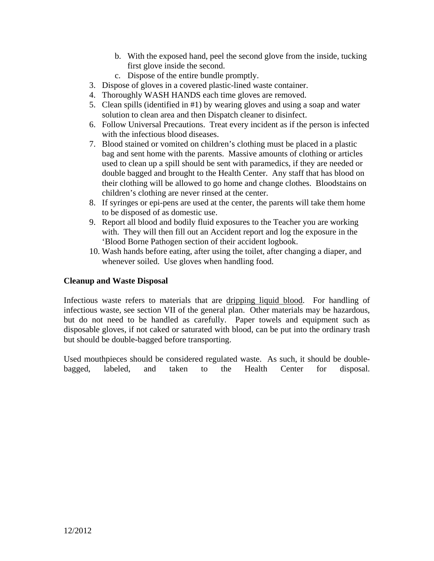- b. With the exposed hand, peel the second glove from the inside, tucking first glove inside the second.
- c. Dispose of the entire bundle promptly.
- 3. Dispose of gloves in a covered plastic-lined waste container.
- 4. Thoroughly WASH HANDS each time gloves are removed.
- 5. Clean spills (identified in #1) by wearing gloves and using a soap and water solution to clean area and then Dispatch cleaner to disinfect.
- 6. Follow Universal Precautions. Treat every incident as if the person is infected with the infectious blood diseases.
- 7. Blood stained or vomited on children's clothing must be placed in a plastic bag and sent home with the parents. Massive amounts of clothing or articles used to clean up a spill should be sent with paramedics, if they are needed or double bagged and brought to the Health Center. Any staff that has blood on their clothing will be allowed to go home and change clothes. Bloodstains on children's clothing are never rinsed at the center.
- 8. If syringes or epi-pens are used at the center, the parents will take them home to be disposed of as domestic use.
- 9. Report all blood and bodily fluid exposures to the Teacher you are working with. They will then fill out an Accident report and log the exposure in the 'Blood Borne Pathogen section of their accident logbook.
- 10. Wash hands before eating, after using the toilet, after changing a diaper, and whenever soiled. Use gloves when handling food.

## **Cleanup and Waste Disposal**

Infectious waste refers to materials that are dripping liquid blood. For handling of infectious waste, see section VII of the general plan. Other materials may be hazardous, but do not need to be handled as carefully. Paper towels and equipment such as disposable gloves, if not caked or saturated with blood, can be put into the ordinary trash but should be double-bagged before transporting.

Used mouthpieces should be considered regulated waste. As such, it should be doublebagged, labeled, and taken to the Health Center for disposal.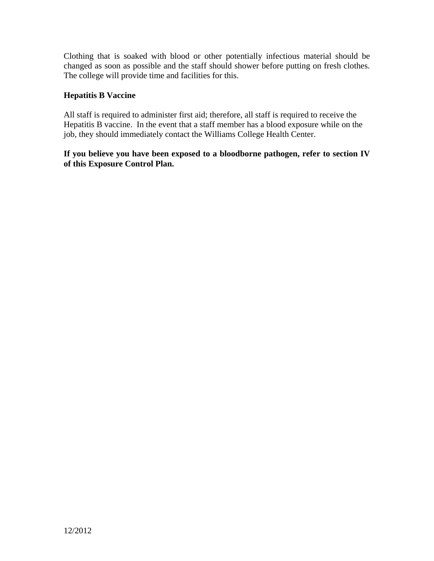Clothing that is soaked with blood or other potentially infectious material should be changed as soon as possible and the staff should shower before putting on fresh clothes. The college will provide time and facilities for this.

## **Hepatitis B Vaccine**

All staff is required to administer first aid; therefore, all staff is required to receive the Hepatitis B vaccine. In the event that a staff member has a blood exposure while on the job, they should immediately contact the Williams College Health Center.

## **If you believe you have been exposed to a bloodborne pathogen, refer to section IV of this Exposure Control Plan.**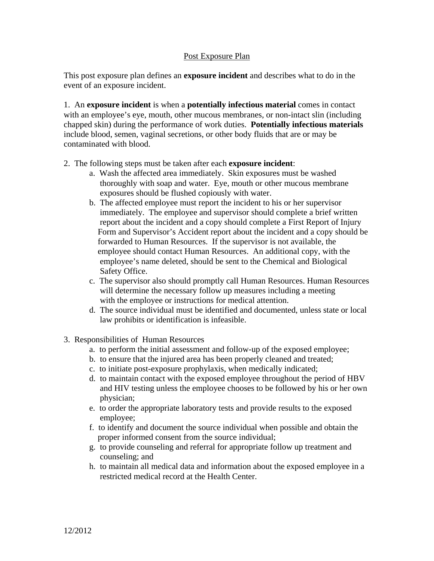## Post Exposure Plan

This post exposure plan defines an **exposure incident** and describes what to do in the event of an exposure incident.

1. An **exposure incident** is when a **potentially infectious material** comes in contact with an employee's eye, mouth, other mucous membranes, or non-intact slin (including chapped skin) during the performance of work duties. **Potentially infectious materials** include blood, semen, vaginal secretions, or other body fluids that are or may be contaminated with blood.

- 2. The following steps must be taken after each **exposure incident**:
	- a. Wash the affected area immediately. Skin exposures must be washed thoroughly with soap and water. Eye, mouth or other mucous membrane exposures should be flushed copiously with water.
	- b. The affected employee must report the incident to his or her supervisor immediately. The employee and supervisor should complete a brief written report about the incident and a copy should complete a First Report of Injury Form and Supervisor's Accident report about the incident and a copy should be forwarded to Human Resources. If the supervisor is not available, the employee should contact Human Resources. An additional copy, with the employee's name deleted, should be sent to the Chemical and Biological Safety Office.
	- c. The supervisor also should promptly call Human Resources. Human Resources will determine the necessary follow up measures including a meeting with the employee or instructions for medical attention.
	- d. The source individual must be identified and documented, unless state or local law prohibits or identification is infeasible.
- 3. Responsibilities of Human Resources
	- a. to perform the initial assessment and follow-up of the exposed employee;
	- b. to ensure that the injured area has been properly cleaned and treated;
	- c. to initiate post-exposure prophylaxis, when medically indicated;
	- d. to maintain contact with the exposed employee throughout the period of HBV and HIV testing unless the employee chooses to be followed by his or her own physician;
	- e. to order the appropriate laboratory tests and provide results to the exposed employee;
	- f. to identify and document the source individual when possible and obtain the proper informed consent from the source individual;
	- g. to provide counseling and referral for appropriate follow up treatment and counseling; and
	- h. to maintain all medical data and information about the exposed employee in a restricted medical record at the Health Center.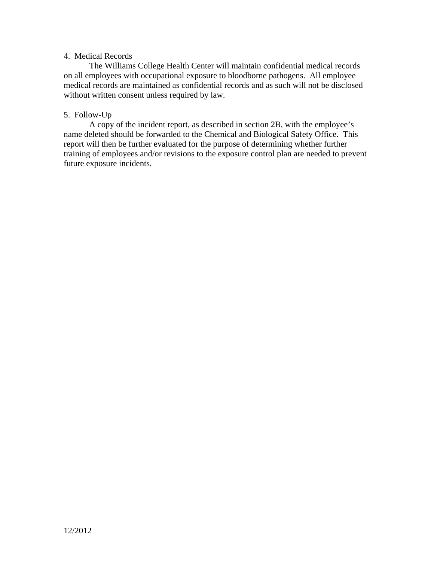### 4. Medical Records

The Williams College Health Center will maintain confidential medical records on all employees with occupational exposure to bloodborne pathogens. All employee medical records are maintained as confidential records and as such will not be disclosed without written consent unless required by law.

# 5. Follow-Up

A copy of the incident report, as described in section 2B, with the employee's name deleted should be forwarded to the Chemical and Biological Safety Office. This report will then be further evaluated for the purpose of determining whether further training of employees and/or revisions to the exposure control plan are needed to prevent future exposure incidents.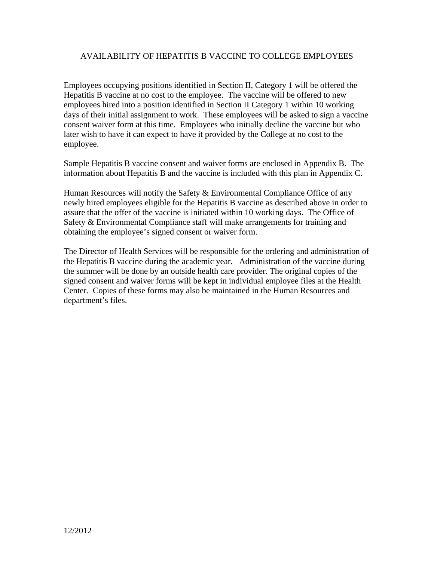## AVAILABILITY OF HEPATITIS B VACCINE TO COLLEGE EMPLOYEES

Employees occupying positions identified in Section II, Category 1 will be offered the Hepatitis B vaccine at no cost to the employee. The vaccine will be offered to new employees hired into a position identified in Section II Category 1 within 10 working days of their initial assignment to work. These employees will be asked to sign a vaccine consent waiver form at this time. Employees who initially decline the vaccine but who later wish to have it can expect to have it provided by the College at no cost to the employee.

Sample Hepatitis B vaccine consent and waiver forms are enclosed in Appendix B. The information about Hepatitis B and the vaccine is included with this plan in Appendix C.

Human Resources will notify the Safety & Environmental Compliance Office of any newly hired employees eligible for the Hepatitis B vaccine as described above in order to assure that the offer of the vaccine is initiated within 10 working days. The Office of Safety & Environmental Compliance staff will make arrangements for training and obtaining the employee's signed consent or waiver form.

The Director of Health Services will be responsible for the ordering and administration of the Hepatitis B vaccine during the academic year. Administration of the vaccine during the summer will be done by an outside health care provider. The original copies of the signed consent and waiver forms will be kept in individual employee files at the Health Center. Copies of these forms may also be maintained in the Human Resources and department's files.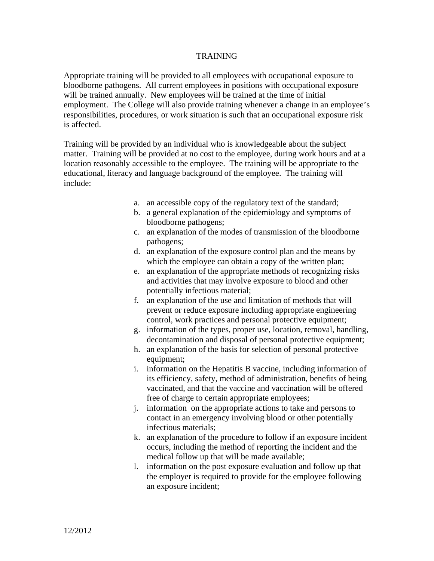## TRAINING

Appropriate training will be provided to all employees with occupational exposure to bloodborne pathogens. All current employees in positions with occupational exposure will be trained annually. New employees will be trained at the time of initial employment. The College will also provide training whenever a change in an employee's responsibilities, procedures, or work situation is such that an occupational exposure risk is affected.

Training will be provided by an individual who is knowledgeable about the subject matter. Training will be provided at no cost to the employee, during work hours and at a location reasonably accessible to the employee. The training will be appropriate to the educational, literacy and language background of the employee. The training will include:

- a. an accessible copy of the regulatory text of the standard;
- b. a general explanation of the epidemiology and symptoms of bloodborne pathogens;
- c. an explanation of the modes of transmission of the bloodborne pathogens;
- d. an explanation of the exposure control plan and the means by which the employee can obtain a copy of the written plan;
- e. an explanation of the appropriate methods of recognizing risks and activities that may involve exposure to blood and other potentially infectious material;
- f. an explanation of the use and limitation of methods that will prevent or reduce exposure including appropriate engineering control, work practices and personal protective equipment;
- g. information of the types, proper use, location, removal, handling, decontamination and disposal of personal protective equipment;
- h. an explanation of the basis for selection of personal protective equipment;
- i. information on the Hepatitis B vaccine, including information of its efficiency, safety, method of administration, benefits of being vaccinated, and that the vaccine and vaccination will be offered free of charge to certain appropriate employees;
- j. information on the appropriate actions to take and persons to contact in an emergency involving blood or other potentially infectious materials;
- k. an explanation of the procedure to follow if an exposure incident occurs, including the method of reporting the incident and the medical follow up that will be made available;
- l. information on the post exposure evaluation and follow up that the employer is required to provide for the employee following an exposure incident;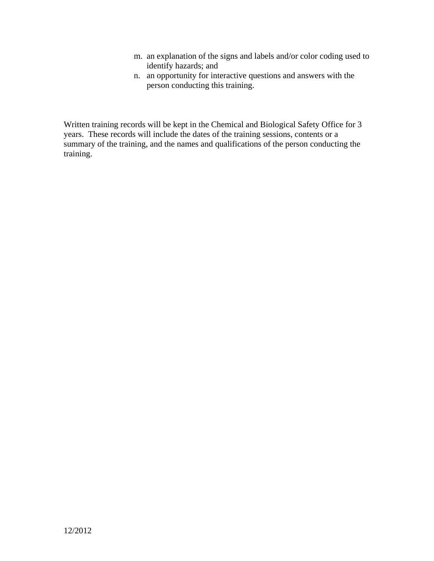- m. an explanation of the signs and labels and/or color coding used to identify hazards; and
- n. an opportunity for interactive questions and answers with the person conducting this training.

Written training records will be kept in the Chemical and Biological Safety Office for 3 years. These records will include the dates of the training sessions, contents or a summary of the training, and the names and qualifications of the person conducting the training.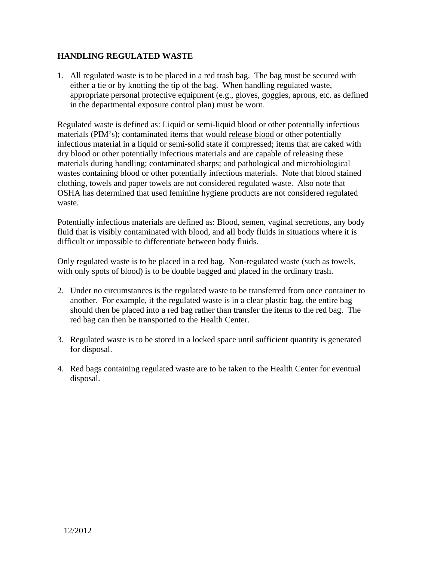## **HANDLING REGULATED WASTE**

1. All regulated waste is to be placed in a red trash bag. The bag must be secured with either a tie or by knotting the tip of the bag. When handling regulated waste, appropriate personal protective equipment (e.g., gloves, goggles, aprons, etc. as defined in the departmental exposure control plan) must be worn.

Regulated waste is defined as: Liquid or semi-liquid blood or other potentially infectious materials (PIM's); contaminated items that would release blood or other potentially infectious material in a liquid or semi-solid state if compressed; items that are caked with dry blood or other potentially infectious materials and are capable of releasing these materials during handling; contaminated sharps; and pathological and microbiological wastes containing blood or other potentially infectious materials. Note that blood stained clothing, towels and paper towels are not considered regulated waste. Also note that OSHA has determined that used feminine hygiene products are not considered regulated waste.

Potentially infectious materials are defined as: Blood, semen, vaginal secretions, any body fluid that is visibly contaminated with blood, and all body fluids in situations where it is difficult or impossible to differentiate between body fluids.

Only regulated waste is to be placed in a red bag. Non-regulated waste (such as towels, with only spots of blood) is to be double bagged and placed in the ordinary trash.

- 2. Under no circumstances is the regulated waste to be transferred from once container to another. For example, if the regulated waste is in a clear plastic bag, the entire bag should then be placed into a red bag rather than transfer the items to the red bag. The red bag can then be transported to the Health Center.
- 3. Regulated waste is to be stored in a locked space until sufficient quantity is generated for disposal.
- 4. Red bags containing regulated waste are to be taken to the Health Center for eventual disposal.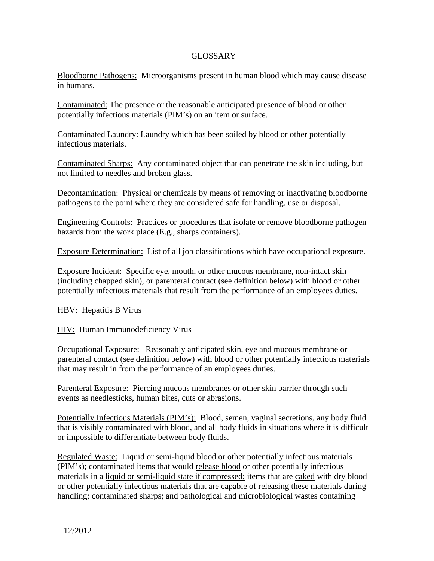## GLOSSARY

Bloodborne Pathogens: Microorganisms present in human blood which may cause disease in humans.

Contaminated: The presence or the reasonable anticipated presence of blood or other potentially infectious materials (PIM's) on an item or surface.

Contaminated Laundry: Laundry which has been soiled by blood or other potentially infectious materials.

Contaminated Sharps: Any contaminated object that can penetrate the skin including, but not limited to needles and broken glass.

Decontamination: Physical or chemicals by means of removing or inactivating bloodborne pathogens to the point where they are considered safe for handling, use or disposal.

Engineering Controls: Practices or procedures that isolate or remove bloodborne pathogen hazards from the work place (E.g., sharps containers).

Exposure Determination: List of all job classifications which have occupational exposure.

Exposure Incident: Specific eye, mouth, or other mucous membrane, non-intact skin (including chapped skin), or parenteral contact (see definition below) with blood or other potentially infectious materials that result from the performance of an employees duties.

HBV: Hepatitis B Virus

HIV: Human Immunodeficiency Virus

Occupational Exposure: Reasonably anticipated skin, eye and mucous membrane or parenteral contact (see definition below) with blood or other potentially infectious materials that may result in from the performance of an employees duties.

Parenteral Exposure: Piercing mucous membranes or other skin barrier through such events as needlesticks, human bites, cuts or abrasions.

Potentially Infectious Materials (PIM's): Blood, semen, vaginal secretions, any body fluid that is visibly contaminated with blood, and all body fluids in situations where it is difficult or impossible to differentiate between body fluids.

Regulated Waste: Liquid or semi-liquid blood or other potentially infectious materials (PIM's); contaminated items that would release blood or other potentially infectious materials in a liquid or semi-liquid state if compressed; items that are caked with dry blood or other potentially infectious materials that are capable of releasing these materials during handling; contaminated sharps; and pathological and microbiological wastes containing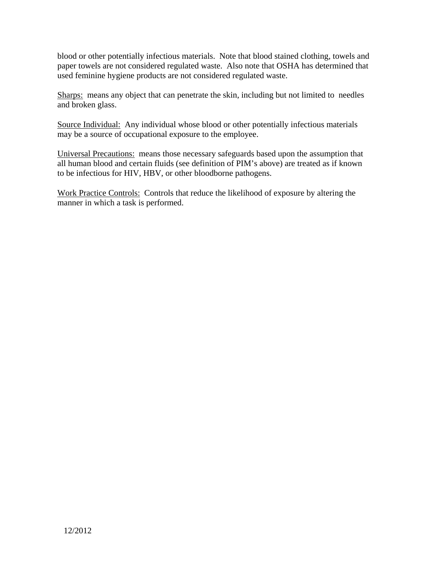blood or other potentially infectious materials. Note that blood stained clothing, towels and paper towels are not considered regulated waste. Also note that OSHA has determined that used feminine hygiene products are not considered regulated waste.

Sharps: means any object that can penetrate the skin, including but not limited to needles and broken glass.

Source Individual: Any individual whose blood or other potentially infectious materials may be a source of occupational exposure to the employee.

Universal Precautions: means those necessary safeguards based upon the assumption that all human blood and certain fluids (see definition of PIM's above) are treated as if known to be infectious for HIV, HBV, or other bloodborne pathogens.

Work Practice Controls: Controls that reduce the likelihood of exposure by altering the manner in which a task is performed.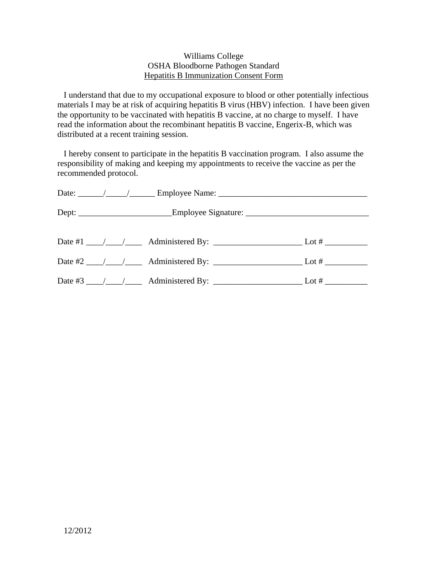## Williams College OSHA Bloodborne Pathogen Standard Hepatitis B Immunization Consent Form

I understand that due to my occupational exposure to blood or other potentially infectious materials I may be at risk of acquiring hepatitis B virus (HBV) infection. I have been given the opportunity to be vaccinated with hepatitis B vaccine, at no charge to myself. I have read the information about the recombinant hepatitis B vaccine, Engerix-B, which was distributed at a recent training session.

I hereby consent to participate in the hepatitis B vaccination program. I also assume the responsibility of making and keeping my appointments to receive the vaccine as per the recommended protocol.

| Dept: __________________________Employee Signature: ____________________________ |  |  |  |  |  |  |
|----------------------------------------------------------------------------------|--|--|--|--|--|--|
|                                                                                  |  |  |  |  |  |  |
|                                                                                  |  |  |  |  |  |  |
|                                                                                  |  |  |  |  |  |  |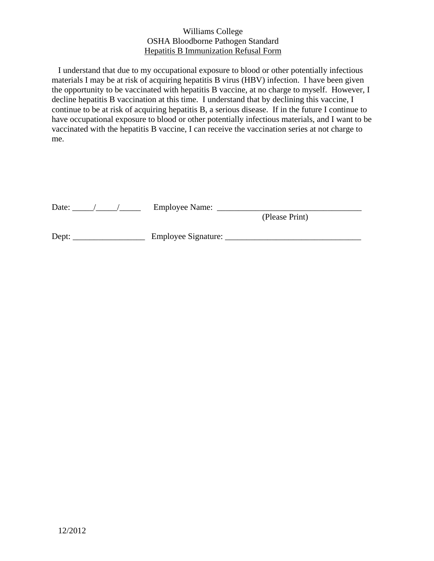## Williams College OSHA Bloodborne Pathogen Standard Hepatitis B Immunization Refusal Form

I understand that due to my occupational exposure to blood or other potentially infectious materials I may be at risk of acquiring hepatitis B virus (HBV) infection. I have been given the opportunity to be vaccinated with hepatitis B vaccine, at no charge to myself. However, I decline hepatitis B vaccination at this time. I understand that by declining this vaccine, I continue to be at risk of acquiring hepatitis B, a serious disease. If in the future I continue to have occupational exposure to blood or other potentially infectious materials, and I want to be vaccinated with the hepatitis B vaccine, I can receive the vaccination series at not charge to me.

| Date: | <b>Employee Name:</b> |                |
|-------|-----------------------|----------------|
|       |                       | (Please Print) |
| Dept: | Employee Signature:   |                |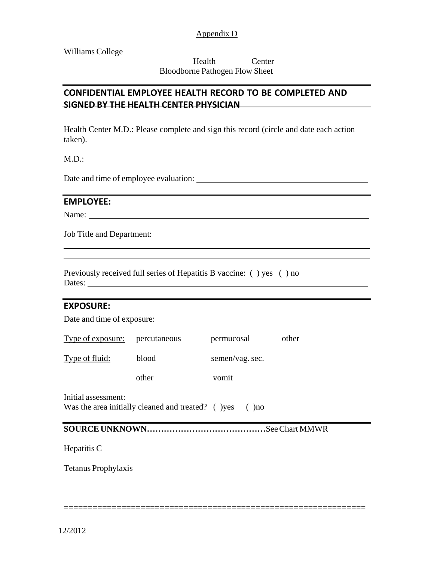## Appendix D

Williams College

Health Center Bloodborne Pathogen Flow Sheet

# **CONFIDENTIAL EMPLOYEE HEALTH RECORD TO BE COMPLETED AND SIGNED BY THE HEALTH CENTER PHYSICIAN**

Health Center M.D.: Please complete and sign this record (circle and date each action taken).

M.D.:

Date and time of employee evaluation:

## **EMPLOYEE:**

Name:

Job Title and Department:

Previously received full series of Hepatitis B vaccine: ( ) yes ( ) no Dates:

| <b>EXPOSURE:</b> |
|------------------|
|------------------|

| Date and time of exposure:     |       |                 |       |  |
|--------------------------------|-------|-----------------|-------|--|
| Type of exposure: percutaneous |       | permucosal      | other |  |
| Type of fluid:                 | blood | semen/vag. sec. |       |  |

other vomit

===============================================================

Initial assessment: Was the area initially cleaned and treated? ( )yes ( )no

**SOURCE UNKNOWN……………………………………**SeeChart MMWR

Hepatitis C

Tetanus Prophylaxis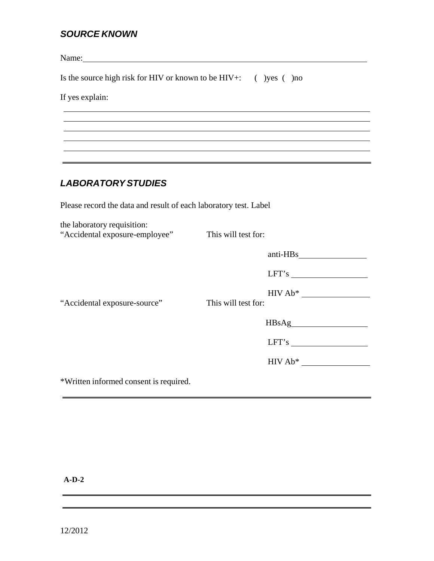# *SOURCE KNOWN*

Name:

Is the source high risk for HIV or known to be HIV+: ( )yes ( )no

If yes explain:

# *LABORATORYSTUDIES*

Please record the data and result of each laboratory test. Label

the laboratory requisition: "Accidental exposure-employee" This will test for:

|                                          | $HIV Ab*$           |
|------------------------------------------|---------------------|
| "Accidental exposure-source"             | This will test for: |
|                                          | HBSAg               |
|                                          | LFT's               |
|                                          | $HIV Ab*$           |
| $*W$ ritten informed consent is required |                     |

and the control of the control of the control of the control of the control of the control of the control of the

\*Written informed consent is required.

**A-D-2**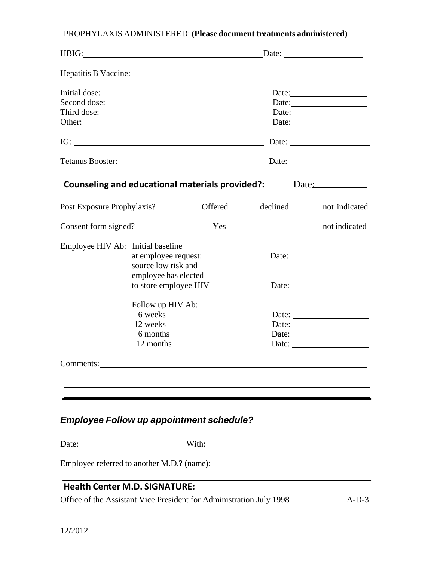PROPHYLAXIS ADMINISTERED: **(Please document treatments administered)**

| HBIG:                                                                                                                             |                                                                   |                                                                    | Date: |                                                                  |
|-----------------------------------------------------------------------------------------------------------------------------------|-------------------------------------------------------------------|--------------------------------------------------------------------|-------|------------------------------------------------------------------|
|                                                                                                                                   |                                                                   |                                                                    |       |                                                                  |
| Initial dose:<br>Second dose:<br>Third dose:<br>Other:                                                                            |                                                                   |                                                                    |       | Date: $\qquad \qquad$<br>Date: $\qquad \qquad$<br>Date:<br>Date: |
|                                                                                                                                   |                                                                   |                                                                    |       | Date: $\frac{1}{\sqrt{1-\frac{1}{2}} \cdot \frac{1}{2}}$         |
|                                                                                                                                   |                                                                   |                                                                    |       |                                                                  |
|                                                                                                                                   |                                                                   | <b>Counseling and educational materials provided?:</b> Date: Date: |       |                                                                  |
| Post Exposure Prophylaxis?                                                                                                        |                                                                   | Offered                                                            |       | declined not indicated                                           |
| Consent form signed?                                                                                                              |                                                                   | Yes                                                                |       | not indicated                                                    |
| Employee HIV Ab: Initial baseline<br>at employee request:<br>source low risk and<br>employee has elected<br>to store employee HIV |                                                                   |                                                                    |       | Date:                                                            |
|                                                                                                                                   | Follow up HIV Ab:<br>6 weeks<br>12 weeks<br>6 months<br>12 months |                                                                    |       | Date:<br>Date: $\qquad \qquad$                                   |
| Comments:                                                                                                                         |                                                                   |                                                                    |       |                                                                  |
| <b>Employee Follow up appointment schedule?</b>                                                                                   |                                                                   |                                                                    |       |                                                                  |
| Date: With: With:                                                                                                                 |                                                                   |                                                                    |       |                                                                  |
| Employee referred to another M.D.? (name):                                                                                        |                                                                   |                                                                    |       |                                                                  |

# **Health Center M.D. SIGNATURE:**

Office of the Assistant Vice President for Administration July 1998 A-D-3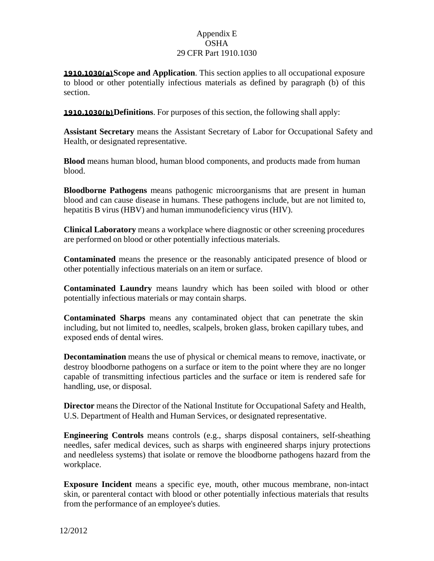## Appendix E OSHA 29 CFR Part 1910.1030

**1910.1030(a)Scope and Application**. This section applies to all occupational exposure to blood or other potentially infectious materials as defined by paragraph (b) of this section.

**1910.1030(b)Definitions**. For purposes of this section, the following shall apply:

**Assistant Secretary** means the Assistant Secretary of Labor for Occupational Safety and Health, or designated representative.

**Blood** means human blood, human blood components, and products made from human blood.

**Bloodborne Pathogens** means pathogenic microorganisms that are present in human blood and can cause disease in humans. These pathogens include, but are not limited to, hepatitis B virus (HBV) and human immunodeficiency virus (HIV).

**Clinical Laboratory** means a workplace where diagnostic or other screening procedures are performed on blood or other potentially infectious materials.

**Contaminated** means the presence or the reasonably anticipated presence of blood or other potentially infectious materials on an item or surface.

**Contaminated Laundry** means laundry which has been soiled with blood or other potentially infectious materials or may contain sharps.

**Contaminated Sharps** means any contaminated object that can penetrate the skin including, but not limited to, needles, scalpels, broken glass, broken capillary tubes, and exposed ends of dental wires.

**Decontamination** means the use of physical or chemical means to remove, inactivate, or destroy bloodborne pathogens on a surface or item to the point where they are no longer capable of transmitting infectious particles and the surface or item is rendered safe for handling, use, or disposal.

**Director** means the Director of the National Institute for Occupational Safety and Health, U.S. Department of Health and Human Services, or designated representative.

**Engineering Controls** means controls (e.g., sharps disposal containers, self-sheathing needles, safer medical devices, such as sharps with engineered sharps injury protections and needleless systems) that isolate or remove the bloodborne pathogens hazard from the workplace.

**Exposure Incident** means a specific eye, mouth, other mucous membrane, non-intact skin, or parenteral contact with blood or other potentially infectious materials that results from the performance of an employee's duties.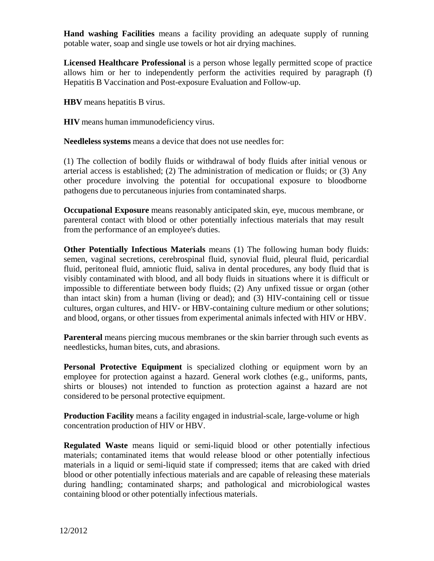**Hand washing Facilities** means a facility providing an adequate supply of running potable water, soap and single use towels or hot air drying machines.

**Licensed Healthcare Professional** is a person whose legally permitted scope of practice allows him or her to independently perform the activities required by paragraph (f) Hepatitis B Vaccination and Post-exposure Evaluation and Follow-up.

**HBV** means hepatitis B virus.

**HIV** means human immunodeficiency virus.

**Needleless systems** means a device that does not use needles for:

(1) The collection of bodily fluids or withdrawal of body fluids after initial venous or arterial access is established; (2) The administration of medication or fluids; or (3) Any other procedure involving the potential for occupational exposure to bloodborne pathogens due to percutaneous injuries from contaminated sharps.

**Occupational Exposure** means reasonably anticipated skin, eye, mucous membrane, or parenteral contact with blood or other potentially infectious materials that may result from the performance of an employee's duties.

**Other Potentially Infectious Materials** means (1) The following human body fluids: semen, vaginal secretions, cerebrospinal fluid, synovial fluid, pleural fluid, pericardial fluid, peritoneal fluid, amniotic fluid, saliva in dental procedures, any body fluid that is visibly contaminated with blood, and all body fluids in situations where it is difficult or impossible to differentiate between body fluids; (2) Any unfixed tissue or organ (other than intact skin) from a human (living or dead); and (3) HIV-containing cell or tissue cultures, organ cultures, and HIV- or HBV-containing culture medium or other solutions; and blood, organs, or other tissues from experimental animals infected with HIV or HBV.

**Parenteral** means piercing mucous membranes or the skin barrier through such events as needlesticks, human bites, cuts, and abrasions.

**Personal Protective Equipment** is specialized clothing or equipment worn by an employee for protection against a hazard. General work clothes (e.g., uniforms, pants, shirts or blouses) not intended to function as protection against a hazard are not considered to be personal protective equipment.

**Production Facility** means a facility engaged in industrial-scale, large-volume or high concentration production of HIV or HBV.

**Regulated Waste** means liquid or semi-liquid blood or other potentially infectious materials; contaminated items that would release blood or other potentially infectious materials in a liquid or semi-liquid state if compressed; items that are caked with dried blood or other potentially infectious materials and are capable of releasing these materials during handling; contaminated sharps; and pathological and microbiological wastes containing blood or other potentially infectious materials.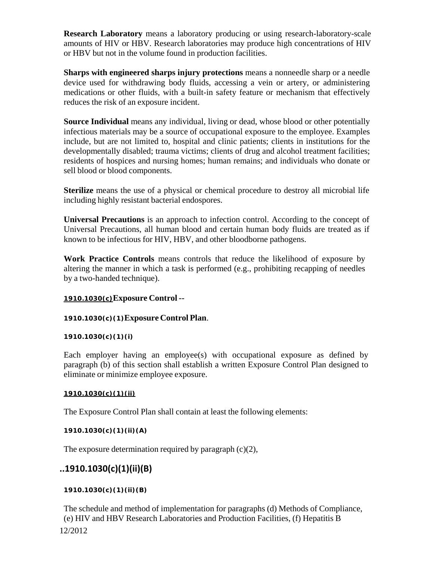**Research Laboratory** means a laboratory producing or using research-laboratory-scale amounts of HIV or HBV. Research laboratories may produce high concentrations of HIV or HBV but not in the volume found in production facilities.

**Sharps with engineered sharps injury protections** means a nonneedle sharp or a needle device used for withdrawing body fluids, accessing a vein or artery, or administering medications or other fluids, with a built-in safety feature or mechanism that effectively reduces the risk of an exposure incident.

**Source Individual** means any individual, living or dead, whose blood or other potentially infectious materials may be a source of occupational exposure to the employee. Examples include, but are not limited to, hospital and clinic patients; clients in institutions for the developmentally disabled; trauma victims; clients of drug and alcohol treatment facilities; residents of hospices and nursing homes; human remains; and individuals who donate or sell blood or blood components.

**Sterilize** means the use of a physical or chemical procedure to destroy all microbial life including highly resistant bacterial endospores.

**Universal Precautions** is an approach to infection control. According to the concept of Universal Precautions, all human blood and certain human body fluids are treated as if known to be infectious for HIV, HBV, and other bloodborne pathogens.

**Work Practice Controls** means controls that reduce the likelihood of exposure by altering the manner in which a task is performed (e.g., prohibiting recapping of needles by a two-handed technique).

## **1910.1030(c)Exposure Control --**

## **1910.1030(c)(1)Exposure Control Plan**.

## **1910.1030(c)(1)(i)**

Each employer having an employee(s) with occupational exposure as defined by paragraph (b) of this section shall establish a written Exposure Control Plan designed to eliminate or minimize employee exposure.

## **1910.1030(c)(1)(ii)**

The Exposure Control Plan shall contain at least the following elements:

## **1910.1030(c)(1)(ii)(A)**

The exposure determination required by paragraph  $(c)(2)$ ,

# **..1910.1030(c)(1)(ii)(B)**

## **1910.1030(c)(1)(ii)(B)**

The schedule and method of implementation for paragraphs (d) Methods of Compliance, (e) HIV and HBV Research Laboratories and Production Facilities, (f) Hepatitis B 12/2012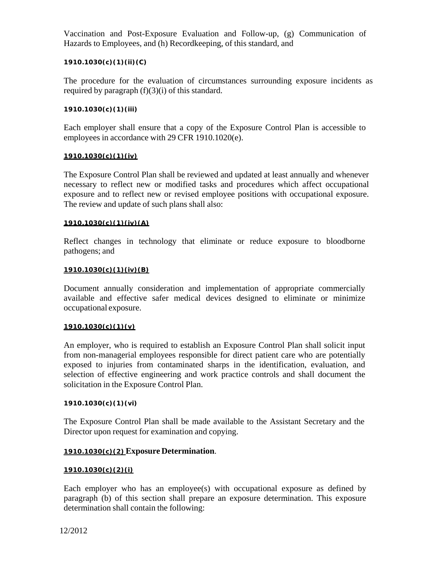Vaccination and Post-Exposure Evaluation and Follow-up, (g) Communication of Hazards to Employees, and (h) Recordkeeping, of this standard, and

## **1910.1030(c)(1)(ii)(C)**

The procedure for the evaluation of circumstances surrounding exposure incidents as required by paragraph (f)(3)(i) of this standard.

## **1910.1030(c)(1)(iii)**

Each employer shall ensure that a copy of the Exposure Control Plan is accessible to employees in accordance with 29 CFR 1910.1020(e).

## **1910.1030(c)(1)(iv)**

The Exposure Control Plan shall be reviewed and updated at least annually and whenever necessary to reflect new or modified tasks and procedures which affect occupational exposure and to reflect new or revised employee positions with occupational exposure. The review and update of such plans shall also:

## **1910.1030(c)(1)(iv)(A)**

Reflect changes in technology that eliminate or reduce exposure to bloodborne pathogens; and

## **1910.1030(c)(1)(iv)(B)**

Document annually consideration and implementation of appropriate commercially available and effective safer medical devices designed to eliminate or minimize occupational exposure.

## **1910.1030(c)(1)(v)**

An employer, who is required to establish an Exposure Control Plan shall solicit input from non-managerial employees responsible for direct patient care who are potentially exposed to injuries from contaminated sharps in the identification, evaluation, and selection of effective engineering and work practice controls and shall document the solicitation in the Exposure Control Plan.

## **1910.1030(c)(1)(vi)**

The Exposure Control Plan shall be made available to the Assistant Secretary and the Director upon request for examination and copying.

## **1910.1030(c)(2)Exposure Determination**.

## **1910.1030(c)(2)(i)**

Each employer who has an employee(s) with occupational exposure as defined by paragraph (b) of this section shall prepare an exposure determination. This exposure determination shall contain the following: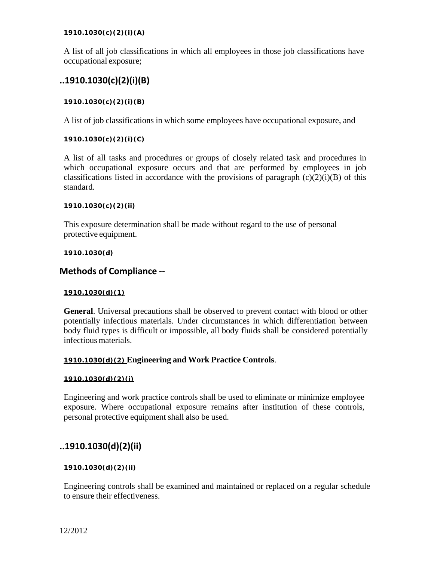## **1910.1030(c)(2)(i)(A)**

A list of all job classifications in which all employees in those job classifications have occupational exposure;

# **..1910.1030(c)(2)(i)(B)**

## **1910.1030(c)(2)(i)(B)**

A list of job classifications in which some employees have occupational exposure, and

## **1910.1030(c)(2)(i)(C)**

A list of all tasks and procedures or groups of closely related task and procedures in which occupational exposure occurs and that are performed by employees in job classifications listed in accordance with the provisions of paragraph  $(c)(2)(i)(B)$  of this standard.

## **1910.1030(c)(2)(ii)**

This exposure determination shall be made without regard to the use of personal protective equipment.

## **1910.1030(d)**

## **Methods of Compliance --**

## **1910.1030(d)(1)**

**General**. Universal precautions shall be observed to prevent contact with blood or other potentially infectious materials. Under circumstances in which differentiation between body fluid types is difficult or impossible, all body fluids shall be considered potentially infectious materials.

## **1910.1030(d)(2) Engineering and Work Practice Controls**.

## **1910.1030(d)(2)(i)**

Engineering and work practice controls shall be used to eliminate or minimize employee exposure. Where occupational exposure remains after institution of these controls, personal protective equipment shall also be used.

## **..1910.1030(d)(2)(ii)**

## **1910.1030(d)(2)(ii)**

Engineering controls shall be examined and maintained or replaced on a regular schedule to ensure their effectiveness.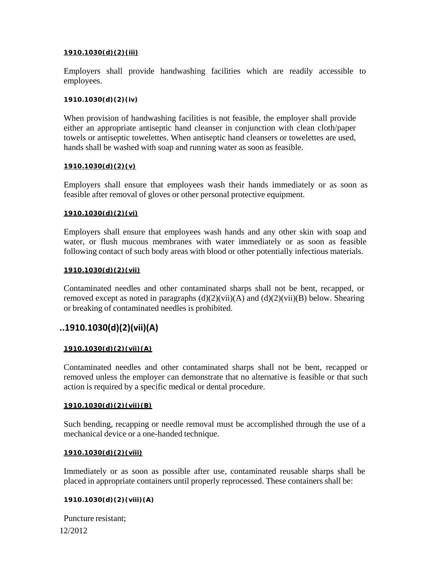## **1910.1030(d)(2)(iii)**

Employers shall provide handwashing facilities which are readily accessible to employees.

### **1910.1030(d)(2)(iv)**

When provision of handwashing facilities is not feasible, the employer shall provide either an appropriate antiseptic hand cleanser in conjunction with clean cloth/paper towels or antiseptic towelettes. When antiseptic hand cleansers or towelettes are used, hands shall be washed with soap and running water as soon as feasible.

#### **1910.1030(d)(2)(v)**

Employers shall ensure that employees wash their hands immediately or as soon as feasible after removal of gloves or other personal protective equipment.

#### **1910.1030(d)(2)(vi)**

Employers shall ensure that employees wash hands and any other skin with soap and water, or flush mucous membranes with water immediately or as soon as feasible following contact of such body areas with blood or other potentially infectious materials.

#### **1910.1030(d)(2)(vii)**

Contaminated needles and other contaminated sharps shall not be bent, recapped, or removed except as noted in paragraphs  $(d)(2)(vii)(A)$  and  $(d)(2)(vii)(B)$  below. Shearing or breaking of contaminated needles is prohibited.

## **..1910.1030(d)(2)(vii)(A)**

## **1910.1030(d)(2)(vii)(A)**

Contaminated needles and other contaminated sharps shall not be bent, recapped or removed unless the employer can demonstrate that no alternative is feasible or that such action is required by a specific medical or dental procedure.

#### **1910.1030(d)(2)(vii)(B)**

Such bending, recapping or needle removal must be accomplished through the use of a mechanical device or a one-handed technique.

## **1910.1030(d)(2)(viii)**

Immediately or as soon as possible after use, contaminated reusable sharps shall be placed in appropriate containers until properly reprocessed. These containers shall be:

## **1910.1030(d)(2)(viii)(A)**

Puncture resistant; 12/2012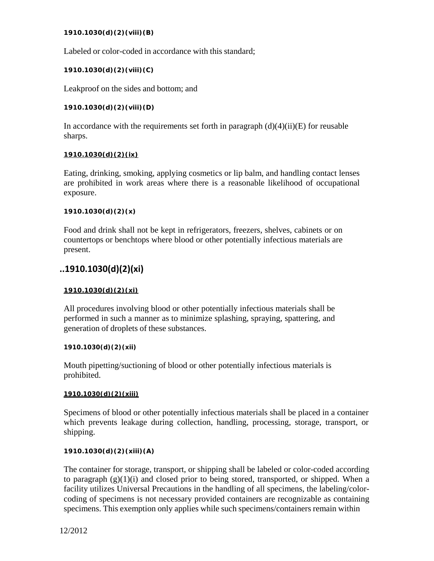## **1910.1030(d)(2)(viii)(B)**

Labeled or color-coded in accordance with this standard;

## **1910.1030(d)(2)(viii)(C)**

Leakproof on the sides and bottom; and

## **1910.1030(d)(2)(viii)(D)**

In accordance with the requirements set forth in paragraph  $(d)(4)(ii)(E)$  for reusable sharps.

## **1910.1030(d)(2)(ix)**

Eating, drinking, smoking, applying cosmetics or lip balm, and handling contact lenses are prohibited in work areas where there is a reasonable likelihood of occupational exposure.

## **1910.1030(d)(2)(x)**

Food and drink shall not be kept in refrigerators, freezers, shelves, cabinets or on countertops or benchtops where blood or other potentially infectious materials are present.

# **..1910.1030(d)(2)(xi)**

## **1910.1030(d)(2)(xi)**

All procedures involving blood or other potentially infectious materials shall be performed in such a manner as to minimize splashing, spraying, spattering, and generation of droplets of these substances.

## **1910.1030(d)(2)(xii)**

Mouth pipetting/suctioning of blood or other potentially infectious materials is prohibited.

## **1910.1030(d)(2)(xiii)**

Specimens of blood or other potentially infectious materials shall be placed in a container which prevents leakage during collection, handling, processing, storage, transport, or shipping.

## **1910.1030(d)(2)(xiii)(A)**

The container for storage, transport, or shipping shall be labeled or color-coded according to paragraph  $(g)(1)(i)$  and closed prior to being stored, transported, or shipped. When a facility utilizes Universal Precautions in the handling of all specimens, the labeling/colorcoding of specimens is not necessary provided containers are recognizable as containing specimens. This exemption only applies while such specimens/containers remain within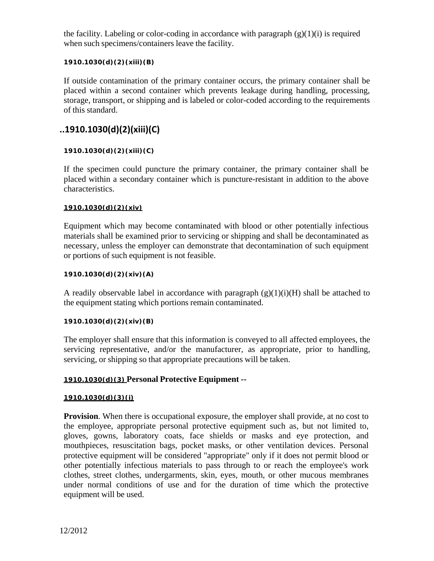the facility. Labeling or color-coding in accordance with paragraph  $(g)(1)(i)$  is required when such specimens/containers leave the facility.

## **1910.1030(d)(2)(xiii)(B)**

If outside contamination of the primary container occurs, the primary container shall be placed within a second container which prevents leakage during handling, processing, storage, transport, or shipping and is labeled or color-coded according to the requirements of this standard.

# **..1910.1030(d)(2)(xiii)(C)**

## **1910.1030(d)(2)(xiii)(C)**

If the specimen could puncture the primary container, the primary container shall be placed within a secondary container which is puncture-resistant in addition to the above characteristics.

## **1910.1030(d)(2)(xiv)**

Equipment which may become contaminated with blood or other potentially infectious materials shall be examined prior to servicing or shipping and shall be decontaminated as necessary, unless the employer can demonstrate that decontamination of such equipment or portions of such equipment is not feasible.

## **1910.1030(d)(2)(xiv)(A)**

A readily observable label in accordance with paragraph  $(g)(1)(i)(H)$  shall be attached to the equipment stating which portions remain contaminated.

## **1910.1030(d)(2)(xiv)(B)**

The employer shall ensure that this information is conveyed to all affected employees, the servicing representative, and/or the manufacturer, as appropriate, prior to handling, servicing, or shipping so that appropriate precautions will be taken.

## **1910.1030(d)(3) Personal Protective Equipment --**

## **1910.1030(d)(3)(i)**

**Provision**. When there is occupational exposure, the employer shall provide, at no cost to the employee, appropriate personal protective equipment such as, but not limited to, gloves, gowns, laboratory coats, face shields or masks and eye protection, and mouthpieces, resuscitation bags, pocket masks, or other ventilation devices. Personal protective equipment will be considered "appropriate" only if it does not permit blood or other potentially infectious materials to pass through to or reach the employee's work clothes, street clothes, undergarments, skin, eyes, mouth, or other mucous membranes under normal conditions of use and for the duration of time which the protective equipment will be used.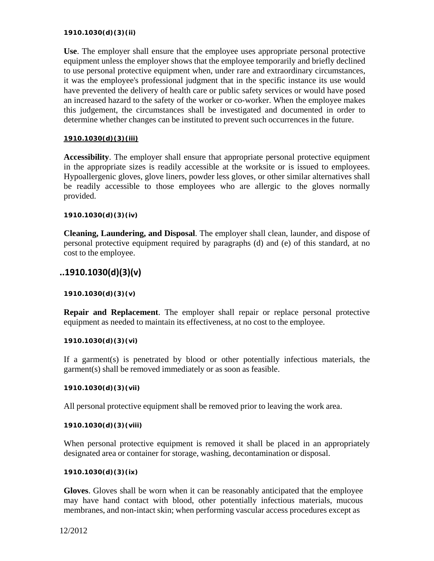**Use**. The employer shall ensure that the employee uses appropriate personal protective equipment unless the employer shows that the employee temporarily and briefly declined to use personal protective equipment when, under rare and extraordinary circumstances, it was the employee's professional judgment that in the specific instance its use would have prevented the delivery of health care or public safety services or would have posed an increased hazard to the safety of the worker or co-worker. When the employee makes this judgement, the circumstances shall be investigated and documented in order to determine whether changes can be instituted to prevent such occurrences in the future.

## **1910.1030(d)(3)(iii)**

**Accessibility**. The employer shall ensure that appropriate personal protective equipment in the appropriate sizes is readily accessible at the worksite or is issued to employees. Hypoallergenic gloves, glove liners, powder less gloves, or other similar alternatives shall be readily accessible to those employees who are allergic to the gloves normally provided.

#### **1910.1030(d)(3)(iv)**

**Cleaning, Laundering, and Disposal**. The employer shall clean, launder, and dispose of personal protective equipment required by paragraphs (d) and (e) of this standard, at no cost to the employee.

# **..1910.1030(d)(3)(v)**

**1910.1030(d)(3)(v)**

**Repair and Replacement**. The employer shall repair or replace personal protective equipment as needed to maintain its effectiveness, at no cost to the employee.

## **1910.1030(d)(3)(vi)**

If a garment(s) is penetrated by blood or other potentially infectious materials, the garment(s) shall be removed immediately or as soon as feasible.

## **1910.1030(d)(3)(vii)**

All personal protective equipment shall be removed prior to leaving the work area.

## **1910.1030(d)(3)(viii)**

When personal protective equipment is removed it shall be placed in an appropriately designated area or container for storage, washing, decontamination or disposal.

## **1910.1030(d)(3)(ix)**

**Gloves**. Gloves shall be worn when it can be reasonably anticipated that the employee may have hand contact with blood, other potentially infectious materials, mucous membranes, and non-intact skin; when performing vascular access procedures except as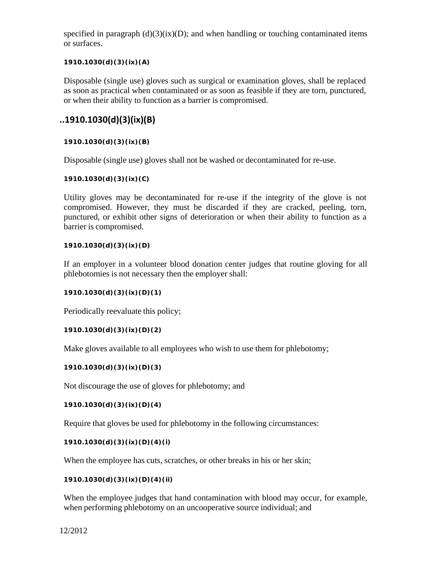specified in paragraph  $(d)(3)(ix)(D)$ ; and when handling or touching contaminated items or surfaces.

## **1910.1030(d)(3)(ix)(A)**

Disposable (single use) gloves such as surgical or examination gloves, shall be replaced as soon as practical when contaminated or as soon as feasible if they are torn, punctured, or when their ability to function as a barrier is compromised.

# **..1910.1030(d)(3)(ix)(B)**

## **1910.1030(d)(3)(ix)(B)**

Disposable (single use) gloves shall not be washed or decontaminated for re-use.

## **1910.1030(d)(3)(ix)(C)**

Utility gloves may be decontaminated for re-use if the integrity of the glove is not compromised. However, they must be discarded if they are cracked, peeling, torn, punctured, or exhibit other signs of deterioration or when their ability to function as a barrier is compromised.

## **1910.1030(d)(3)(ix)(D)**

If an employer in a volunteer blood donation center judges that routine gloving for all phlebotomies is not necessary then the employer shall:

## **1910.1030(d)(3)(ix)(D)(1)**

Periodically reevaluate this policy;

## **1910.1030(d)(3)(ix)(D)(2)**

Make gloves available to all employees who wish to use them for phlebotomy;

## **1910.1030(d)(3)(ix)(D)(3)**

Not discourage the use of gloves for phlebotomy; and

## **1910.1030(d)(3)(ix)(D)(4)**

Require that gloves be used for phlebotomy in the following circumstances:

## **1910.1030(d)(3)(ix)(D)(4)(i)**

When the employee has cuts, scratches, or other breaks in his or her skin;

## **1910.1030(d)(3)(ix)(D)(4)(ii)**

When the employee judges that hand contamination with blood may occur, for example, when performing phlebotomy on an uncooperative source individual; and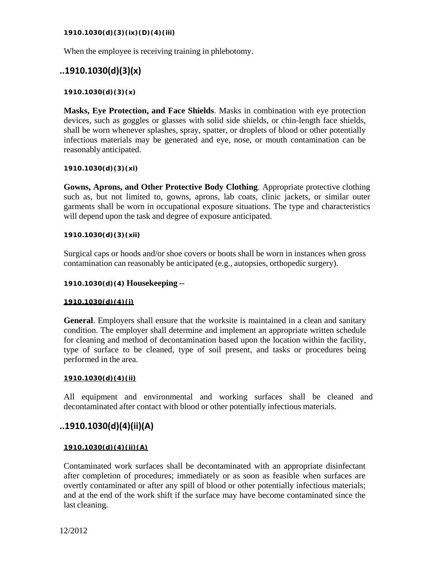## **1910.1030(d)(3)(ix)(D)(4)(iii)**

When the employee is receiving training in phlebotomy.

## **..1910.1030(d)(3)(x)**

### **1910.1030(d)(3)(x)**

**Masks, Eye Protection, and Face Shields**. Masks in combination with eye protection devices, such as goggles or glasses with solid side shields, or chin-length face shields, shall be worn whenever splashes, spray, spatter, or droplets of blood or other potentially infectious materials may be generated and eye, nose, or mouth contamination can be reasonably anticipated.

#### **1910.1030(d)(3)(xi)**

**Gowns, Aprons, and Other Protective Body Clothing**. Appropriate protective clothing such as, but not limited to, gowns, aprons, lab coats, clinic jackets, or similar outer garments shall be worn in occupational exposure situations. The type and characteristics will depend upon the task and degree of exposure anticipated.

## **1910.1030(d)(3)(xii)**

Surgical caps or hoods and/or shoe covers or boots shall be worn in instances when gross contamination can reasonably be anticipated (e.g., autopsies, orthopedic surgery).

## **1910.1030(d)(4) Housekeeping --**

#### **1910.1030(d)(4)(i)**

**General**. Employers shall ensure that the worksite is maintained in a clean and sanitary condition. The employer shall determine and implement an appropriate written schedule for cleaning and method of decontamination based upon the location within the facility, type of surface to be cleaned, type of soil present, and tasks or procedures being performed in the area.

#### **1910.1030(d)(4)(ii)**

All equipment and environmental and working surfaces shall be cleaned and decontaminated after contact with blood or other potentially infectious materials.

## **..1910.1030(d)(4)(ii)(A)**

#### **1910.1030(d)(4)(ii)(A)**

Contaminated work surfaces shall be decontaminated with an appropriate disinfectant after completion of procedures; immediately or as soon as feasible when surfaces are overtly contaminated or after any spill of blood or other potentially infectious materials; and at the end of the work shift if the surface may have become contaminated since the last cleaning.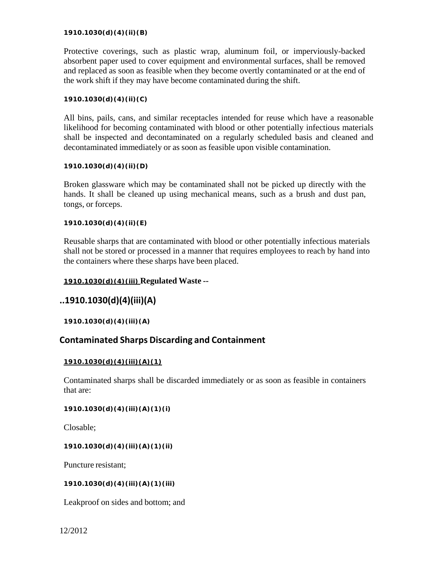## **1910.1030(d)(4)(ii)(B)**

Protective coverings, such as plastic wrap, aluminum foil, or imperviously-backed absorbent paper used to cover equipment and environmental surfaces, shall be removed and replaced as soon as feasible when they become overtly contaminated or at the end of the work shift if they may have become contaminated during the shift.

#### **1910.1030(d)(4)(ii)(C)**

All bins, pails, cans, and similar receptacles intended for reuse which have a reasonable likelihood for becoming contaminated with blood or other potentially infectious materials shall be inspected and decontaminated on a regularly scheduled basis and cleaned and decontaminated immediately or as soon as feasible upon visible contamination.

#### **1910.1030(d)(4)(ii)(D)**

Broken glassware which may be contaminated shall not be picked up directly with the hands. It shall be cleaned up using mechanical means, such as a brush and dust pan, tongs, or forceps.

## **1910.1030(d)(4)(ii)(E)**

Reusable sharps that are contaminated with blood or other potentially infectious materials shall not be stored or processed in a manner that requires employees to reach by hand into the containers where these sharps have been placed.

## **1910.1030(d)(4)(iii) Regulated Waste --**

## **..1910.1030(d)(4)(iii)(A)**

**1910.1030(d)(4)(iii)(A)**

## **Contaminated Sharps Discarding and Containment**

## **1910.1030(d)(4)(iii)(A)(1)**

Contaminated sharps shall be discarded immediately or as soon as feasible in containers that are:

**1910.1030(d)(4)(iii)(A)(1)(i)**

Closable;

**1910.1030(d)(4)(iii)(A)(1)(ii)**

Puncture resistant;

**1910.1030(d)(4)(iii)(A)(1)(iii)**

Leakproof on sides and bottom; and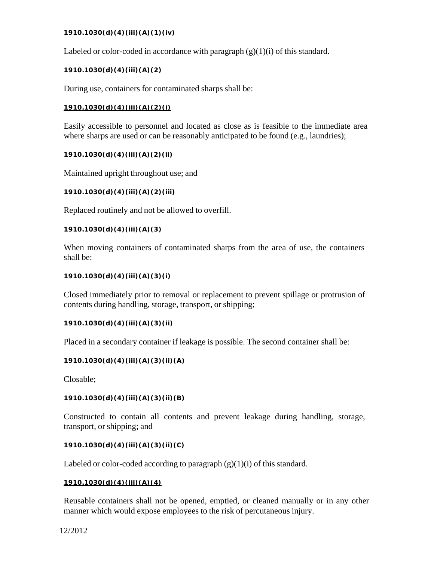## **1910.1030(d)(4)(iii)(A)(1)(iv)**

Labeled or color-coded in accordance with paragraph  $(g)(1)(i)$  of this standard.

## **1910.1030(d)(4)(iii)(A)(2)**

During use, containers for contaminated sharps shall be:

#### **1910.1030(d)(4)(iii)(A)(2)(i)**

Easily accessible to personnel and located as close as is feasible to the immediate area where sharps are used or can be reasonably anticipated to be found (e.g., laundries);

#### **1910.1030(d)(4)(iii)(A)(2)(ii)**

Maintained upright throughout use; and

#### **1910.1030(d)(4)(iii)(A)(2)(iii)**

Replaced routinely and not be allowed to overfill.

#### **1910.1030(d)(4)(iii)(A)(3)**

When moving containers of contaminated sharps from the area of use, the containers shall be:

#### **1910.1030(d)(4)(iii)(A)(3)(i)**

Closed immediately prior to removal or replacement to prevent spillage or protrusion of contents during handling, storage, transport, or shipping;

## **1910.1030(d)(4)(iii)(A)(3)(ii)**

Placed in a secondary container if leakage is possible. The second container shall be:

## **1910.1030(d)(4)(iii)(A)(3)(ii)(A)**

Closable;

## **1910.1030(d)(4)(iii)(A)(3)(ii)(B)**

Constructed to contain all contents and prevent leakage during handling, storage, transport, or shipping; and

## **1910.1030(d)(4)(iii)(A)(3)(ii)(C)**

Labeled or color-coded according to paragraph  $(g)(1)(i)$  of this standard.

## **1910.1030(d)(4)(iii)(A)(4)**

Reusable containers shall not be opened, emptied, or cleaned manually or in any other manner which would expose employees to the risk of percutaneous injury.

12/2012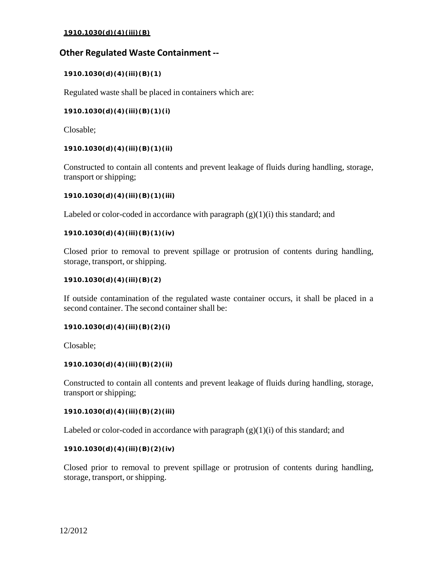#### **1910.1030(d)(4)(iii)(B)**

## **Other Regulated Waste Containment --**

## **1910.1030(d)(4)(iii)(B)(1)**

Regulated waste shall be placed in containers which are:

## **1910.1030(d)(4)(iii)(B)(1)(i)**

Closable;

## **1910.1030(d)(4)(iii)(B)(1)(ii)**

Constructed to contain all contents and prevent leakage of fluids during handling, storage, transport or shipping;

#### **1910.1030(d)(4)(iii)(B)(1)(iii)**

Labeled or color-coded in accordance with paragraph  $(g)(1)(i)$  this standard; and

### **1910.1030(d)(4)(iii)(B)(1)(iv)**

Closed prior to removal to prevent spillage or protrusion of contents during handling, storage, transport, or shipping.

## **1910.1030(d)(4)(iii)(B)(2)**

If outside contamination of the regulated waste container occurs, it shall be placed in a second container. The second container shall be:

#### **1910.1030(d)(4)(iii)(B)(2)(i)**

Closable;

#### **1910.1030(d)(4)(iii)(B)(2)(ii)**

Constructed to contain all contents and prevent leakage of fluids during handling, storage, transport or shipping;

#### **1910.1030(d)(4)(iii)(B)(2)(iii)**

Labeled or color-coded in accordance with paragraph  $(g)(1)(i)$  of this standard; and

## **1910.1030(d)(4)(iii)(B)(2)(iv)**

Closed prior to removal to prevent spillage or protrusion of contents during handling, storage, transport, or shipping.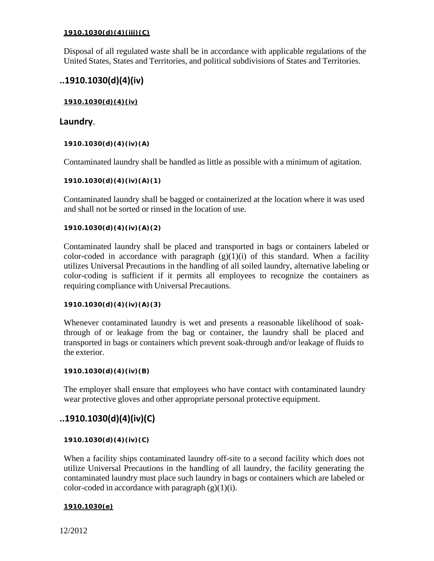#### **1910.1030(d)(4)(iii)(C)**

Disposal of all regulated waste shall be in accordance with applicable regulations of the United States, States and Territories, and political subdivisions of States and Territories.

# **..1910.1030(d)(4)(iv)**

## **1910.1030(d)(4)(iv)**

## **Laundry**.

## **1910.1030(d)(4)(iv)(A)**

Contaminated laundry shall be handled as little as possible with a minimum of agitation.

## **1910.1030(d)(4)(iv)(A)(1)**

Contaminated laundry shall be bagged or containerized at the location where it was used and shall not be sorted or rinsed in the location of use.

## **1910.1030(d)(4)(iv)(A)(2)**

Contaminated laundry shall be placed and transported in bags or containers labeled or color-coded in accordance with paragraph  $(g)(1)(i)$  of this standard. When a facility utilizes Universal Precautions in the handling of all soiled laundry, alternative labeling or color-coding is sufficient if it permits all employees to recognize the containers as requiring compliance with Universal Precautions.

## **1910.1030(d)(4)(iv)(A)(3)**

Whenever contaminated laundry is wet and presents a reasonable likelihood of soakthrough of or leakage from the bag or container, the laundry shall be placed and transported in bags or containers which prevent soak-through and/or leakage of fluids to the exterior.

## **1910.1030(d)(4)(iv)(B)**

The employer shall ensure that employees who have contact with contaminated laundry wear protective gloves and other appropriate personal protective equipment.

# **..1910.1030(d)(4)(iv)(C)**

## **1910.1030(d)(4)(iv)(C)**

When a facility ships contaminated laundry off-site to a second facility which does not utilize Universal Precautions in the handling of all laundry, the facility generating the contaminated laundry must place such laundry in bags or containers which are labeled or color-coded in accordance with paragraph  $(g)(1)(i)$ .

## **1910.1030(e)**

12/2012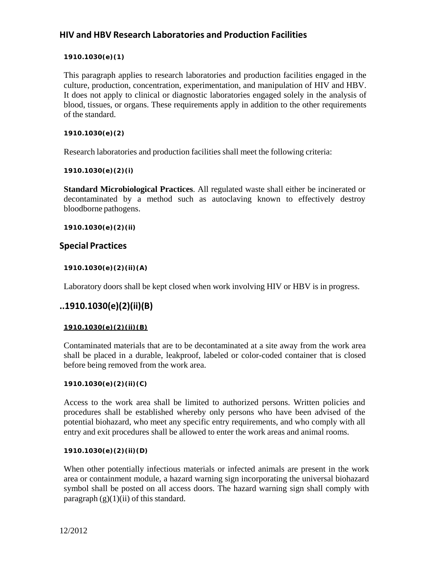# **HIV and HBV Research Laboratories and Production Facilities**

## **1910.1030(e)(1)**

This paragraph applies to research laboratories and production facilities engaged in the culture, production, concentration, experimentation, and manipulation of HIV and HBV. It does not apply to clinical or diagnostic laboratories engaged solely in the analysis of blood, tissues, or organs. These requirements apply in addition to the other requirements of the standard.

## **1910.1030(e)(2)**

Research laboratories and production facilities shall meet the following criteria:

## **1910.1030(e)(2)(i)**

**Standard Microbiological Practices**. All regulated waste shall either be incinerated or decontaminated by a method such as autoclaving known to effectively destroy bloodborne pathogens.

**1910.1030(e)(2)(ii)**

# **Special Practices**

## **1910.1030(e)(2)(ii)(A)**

Laboratory doors shall be kept closed when work involving HIV or HBV is in progress.

# **..1910.1030(e)(2)(ii)(B)**

## **1910.1030(e)(2)(ii)(B)**

Contaminated materials that are to be decontaminated at a site away from the work area shall be placed in a durable, leakproof, labeled or color-coded container that is closed before being removed from the work area.

## **1910.1030(e)(2)(ii)(C)**

Access to the work area shall be limited to authorized persons. Written policies and procedures shall be established whereby only persons who have been advised of the potential biohazard, who meet any specific entry requirements, and who comply with all entry and exit procedures shall be allowed to enter the work areas and animal rooms.

## **1910.1030(e)(2)(ii)(D)**

When other potentially infectious materials or infected animals are present in the work area or containment module, a hazard warning sign incorporating the universal biohazard symbol shall be posted on all access doors. The hazard warning sign shall comply with paragraph  $(g)(1)(ii)$  of this standard.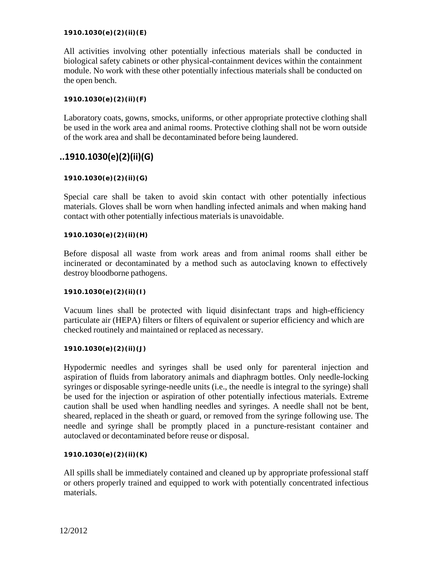## **1910.1030(e)(2)(ii)(E)**

All activities involving other potentially infectious materials shall be conducted in biological safety cabinets or other physical-containment devices within the containment module. No work with these other potentially infectious materials shall be conducted on the open bench.

## **1910.1030(e)(2)(ii)(F)**

Laboratory coats, gowns, smocks, uniforms, or other appropriate protective clothing shall be used in the work area and animal rooms. Protective clothing shall not be worn outside of the work area and shall be decontaminated before being laundered.

# **..1910.1030(e)(2)(ii)(G)**

## **1910.1030(e)(2)(ii)(G)**

Special care shall be taken to avoid skin contact with other potentially infectious materials. Gloves shall be worn when handling infected animals and when making hand contact with other potentially infectious materials is unavoidable.

## **1910.1030(e)(2)(ii)(H)**

Before disposal all waste from work areas and from animal rooms shall either be incinerated or decontaminated by a method such as autoclaving known to effectively destroy bloodborne pathogens.

## **1910.1030(e)(2)(ii)(I)**

Vacuum lines shall be protected with liquid disinfectant traps and high-efficiency particulate air (HEPA) filters or filters of equivalent or superior efficiency and which are checked routinely and maintained or replaced as necessary.

## **1910.1030(e)(2)(ii)(J)**

Hypodermic needles and syringes shall be used only for parenteral injection and aspiration of fluids from laboratory animals and diaphragm bottles. Only needle-locking syringes or disposable syringe-needle units (i.e., the needle is integral to the syringe) shall be used for the injection or aspiration of other potentially infectious materials. Extreme caution shall be used when handling needles and syringes. A needle shall not be bent, sheared, replaced in the sheath or guard, or removed from the syringe following use. The needle and syringe shall be promptly placed in a puncture-resistant container and autoclaved or decontaminated before reuse or disposal.

## **1910.1030(e)(2)(ii)(K)**

All spills shall be immediately contained and cleaned up by appropriate professional staff or others properly trained and equipped to work with potentially concentrated infectious materials.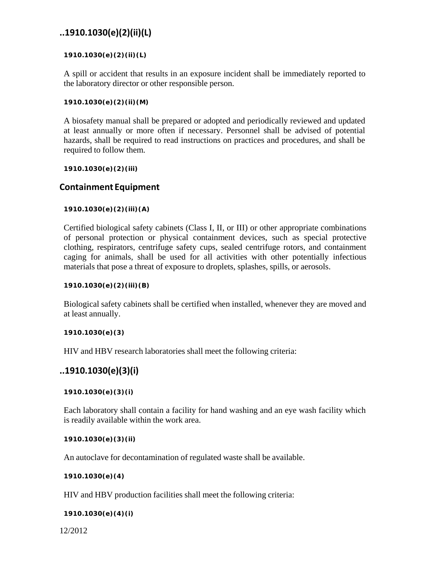# **..1910.1030(e)(2)(ii)(L)**

## **1910.1030(e)(2)(ii)(L)**

A spill or accident that results in an exposure incident shall be immediately reported to the laboratory director or other responsible person.

## **1910.1030(e)(2)(ii)(M)**

A biosafety manual shall be prepared or adopted and periodically reviewed and updated at least annually or more often if necessary. Personnel shall be advised of potential hazards, shall be required to read instructions on practices and procedures, and shall be required to follow them.

## **1910.1030(e)(2)(iii)**

# **Containment Equipment**

## **1910.1030(e)(2)(iii)(A)**

Certified biological safety cabinets (Class I, II, or III) or other appropriate combinations of personal protection or physical containment devices, such as special protective clothing, respirators, centrifuge safety cups, sealed centrifuge rotors, and containment caging for animals, shall be used for all activities with other potentially infectious materials that pose a threat of exposure to droplets, splashes, spills, or aerosols.

## **1910.1030(e)(2)(iii)(B)**

Biological safety cabinets shall be certified when installed, whenever they are moved and at least annually.

## **1910.1030(e)(3)**

HIV and HBV research laboratories shall meet the following criteria:

# **..1910.1030(e)(3)(i)**

## **1910.1030(e)(3)(i)**

Each laboratory shall contain a facility for hand washing and an eye wash facility which is readily available within the work area.

## **1910.1030(e)(3)(ii)**

An autoclave for decontamination of regulated waste shall be available.

## **1910.1030(e)(4)**

HIV and HBV production facilities shall meet the following criteria:

## **1910.1030(e)(4)(i)**

12/2012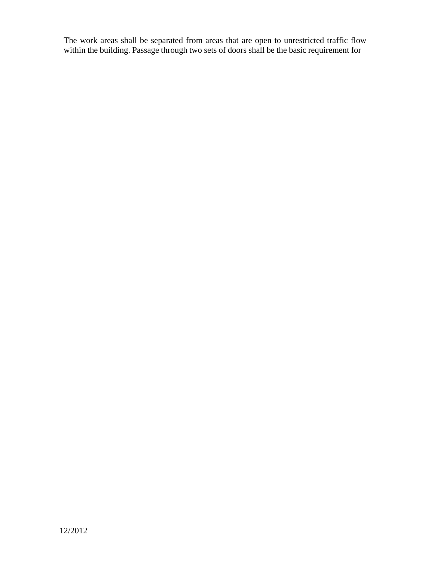The work areas shall be separated from areas that are open to unrestricted traffic flow within the building. Passage through two sets of doors shall be the basic requirement for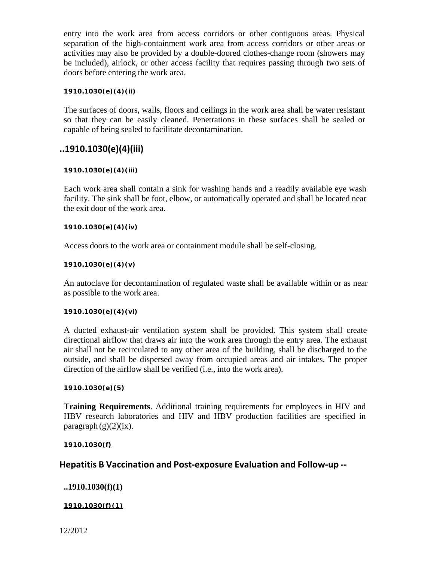entry into the work area from access corridors or other contiguous areas. Physical separation of the high-containment work area from access corridors or other areas or activities may also be provided by a double-doored clothes-change room (showers may be included), airlock, or other access facility that requires passing through two sets of doors before entering the work area.

## **1910.1030(e)(4)(ii)**

The surfaces of doors, walls, floors and ceilings in the work area shall be water resistant so that they can be easily cleaned. Penetrations in these surfaces shall be sealed or capable of being sealed to facilitate decontamination.

# **..1910.1030(e)(4)(iii)**

## **1910.1030(e)(4)(iii)**

Each work area shall contain a sink for washing hands and a readily available eye wash facility. The sink shall be foot, elbow, or automatically operated and shall be located near the exit door of the work area.

## **1910.1030(e)(4)(iv)**

Access doors to the work area or containment module shall be self-closing.

## **1910.1030(e)(4)(v)**

An autoclave for decontamination of regulated waste shall be available within or as near as possible to the work area.

## **1910.1030(e)(4)(vi)**

A ducted exhaust-air ventilation system shall be provided. This system shall create directional airflow that draws air into the work area through the entry area. The exhaust air shall not be recirculated to any other area of the building, shall be discharged to the outside, and shall be dispersed away from occupied areas and air intakes. The proper direction of the airflow shall be verified (i.e., into the work area).

## **1910.1030(e)(5)**

**Training Requirements**. Additional training requirements for employees in HIV and HBV research laboratories and HIV and HBV production facilities are specified in paragraph  $(g)(2)(ix)$ .

## **1910.1030(f)**

## **Hepatitis B Vaccination and Post-exposure Evaluation and Follow-up --**

## **..1910.1030(f)(1)**

## **1910.1030(f)(1)**

12/2012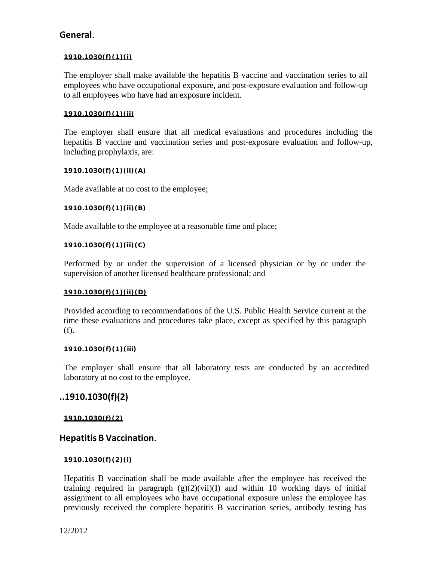# **General**.

## **1910.1030(f)(1)(i)**

The employer shall make available the hepatitis B vaccine and vaccination series to all employees who have occupational exposure, and post-exposure evaluation and follow-up to all employees who have had an exposure incident.

## **1910.1030(f)(1)(ii)**

The employer shall ensure that all medical evaluations and procedures including the hepatitis B vaccine and vaccination series and post-exposure evaluation and follow-up, including prophylaxis, are:

## **1910.1030(f)(1)(ii)(A)**

Made available at no cost to the employee;

## **1910.1030(f)(1)(ii)(B)**

Made available to the employee at a reasonable time and place;

## **1910.1030(f)(1)(ii)(C)**

Performed by or under the supervision of a licensed physician or by or under the supervision of another licensed healthcare professional; and

## **1910.1030(f)(1)(ii)(D)**

Provided according to recommendations of the U.S. Public Health Service current at the time these evaluations and procedures take place, except as specified by this paragraph (f).

## **1910.1030(f)(1)(iii)**

The employer shall ensure that all laboratory tests are conducted by an accredited laboratory at no cost to the employee.

## **..1910.1030(f)(2)**

## **1910.1030(f)(2)**

## **Hepatitis B Vaccination**.

## **1910.1030(f)(2)(i)**

Hepatitis B vaccination shall be made available after the employee has received the training required in paragraph  $(g)(2)(vi)(I)$  and within 10 working days of initial assignment to all employees who have occupational exposure unless the employee has previously received the complete hepatitis B vaccination series, antibody testing has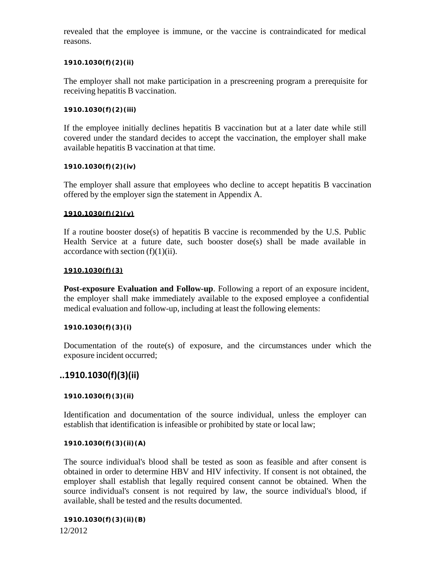revealed that the employee is immune, or the vaccine is contraindicated for medical reasons.

## **1910.1030(f)(2)(ii)**

The employer shall not make participation in a prescreening program a prerequisite for receiving hepatitis B vaccination.

## **1910.1030(f)(2)(iii)**

If the employee initially declines hepatitis B vaccination but at a later date while still covered under the standard decides to accept the vaccination, the employer shall make available hepatitis B vaccination at that time.

## **1910.1030(f)(2)(iv)**

The employer shall assure that employees who decline to accept hepatitis B vaccination offered by the employer sign the statement in Appendix A.

## **1910.1030(f)(2)(v)**

If a routine booster dose(s) of hepatitis B vaccine is recommended by the U.S. Public Health Service at a future date, such booster dose(s) shall be made available in accordance with section  $(f)(1)(ii)$ .

## **1910.1030(f)(3)**

**Post-exposure Evaluation and Follow-up**. Following a report of an exposure incident, the employer shall make immediately available to the exposed employee a confidential medical evaluation and follow-up, including at least the following elements:

## **1910.1030(f)(3)(i)**

Documentation of the route(s) of exposure, and the circumstances under which the exposure incident occurred;

## **..1910.1030(f)(3)(ii)**

## **1910.1030(f)(3)(ii)**

Identification and documentation of the source individual, unless the employer can establish that identification is infeasible or prohibited by state or local law;

## **1910.1030(f)(3)(ii)(A)**

The source individual's blood shall be tested as soon as feasible and after consent is obtained in order to determine HBV and HIV infectivity. If consent is not obtained, the employer shall establish that legally required consent cannot be obtained. When the source individual's consent is not required by law, the source individual's blood, if available, shall be tested and the results documented.

**1910.1030(f)(3)(ii)(B)** 12/2012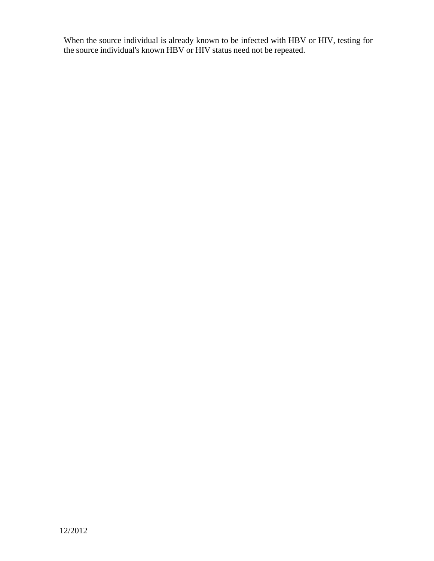When the source individual is already known to be infected with HBV or HIV, testing for the source individual's known HBV or HIV status need not be repeated.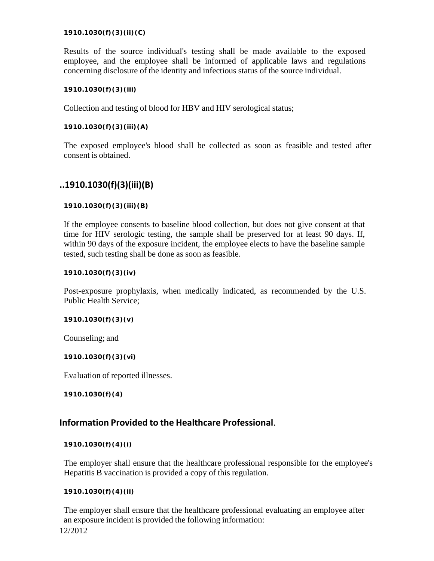## **1910.1030(f)(3)(ii)(C)**

Results of the source individual's testing shall be made available to the exposed employee, and the employee shall be informed of applicable laws and regulations concerning disclosure of the identity and infectious status of the source individual.

#### **1910.1030(f)(3)(iii)**

Collection and testing of blood for HBV and HIV serological status;

#### **1910.1030(f)(3)(iii)(A)**

The exposed employee's blood shall be collected as soon as feasible and tested after consent is obtained.

## **..1910.1030(f)(3)(iii)(B)**

## **1910.1030(f)(3)(iii)(B)**

If the employee consents to baseline blood collection, but does not give consent at that time for HIV serologic testing, the sample shall be preserved for at least 90 days. If, within 90 days of the exposure incident, the employee elects to have the baseline sample tested, such testing shall be done as soon as feasible.

#### **1910.1030(f)(3)(iv)**

Post-exposure prophylaxis, when medically indicated, as recommended by the U.S. Public Health Service;

#### **1910.1030(f)(3)(v)**

Counseling; and

## **1910.1030(f)(3)(vi)**

Evaluation of reported illnesses.

## **1910.1030(f)(4)**

## **Information Provided to the Healthcare Professional**.

## **1910.1030(f)(4)(i)**

The employer shall ensure that the healthcare professional responsible for the employee's Hepatitis B vaccination is provided a copy of this regulation.

#### **1910.1030(f)(4)(ii)**

The employer shall ensure that the healthcare professional evaluating an employee after an exposure incident is provided the following information: 12/2012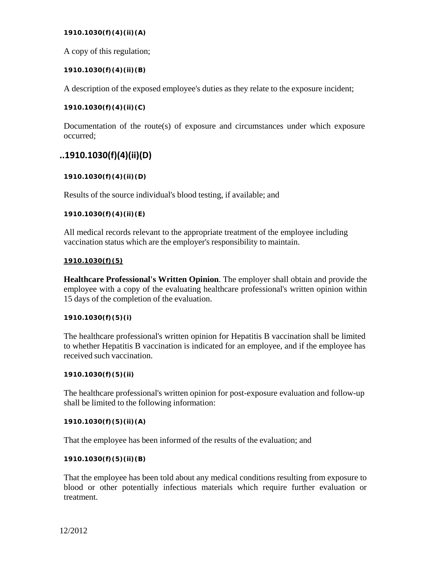## **1910.1030(f)(4)(ii)(A)**

A copy of this regulation;

## **1910.1030(f)(4)(ii)(B)**

A description of the exposed employee's duties as they relate to the exposure incident;

## **1910.1030(f)(4)(ii)(C)**

Documentation of the route(s) of exposure and circumstances under which exposure occurred;

# **..1910.1030(f)(4)(ii)(D)**

## **1910.1030(f)(4)(ii)(D)**

Results of the source individual's blood testing, if available; and

## **1910.1030(f)(4)(ii)(E)**

All medical records relevant to the appropriate treatment of the employee including vaccination status which are the employer's responsibility to maintain.

## **1910.1030(f)(5)**

**Healthcare Professional's Written Opinion**. The employer shall obtain and provide the employee with a copy of the evaluating healthcare professional's written opinion within 15 days of the completion of the evaluation.

## **1910.1030(f)(5)(i)**

The healthcare professional's written opinion for Hepatitis B vaccination shall be limited to whether Hepatitis B vaccination is indicated for an employee, and if the employee has received such vaccination.

## **1910.1030(f)(5)(ii)**

The healthcare professional's written opinion for post-exposure evaluation and follow-up shall be limited to the following information:

## **1910.1030(f)(5)(ii)(A)**

That the employee has been informed of the results of the evaluation; and

## **1910.1030(f)(5)(ii)(B)**

That the employee has been told about any medical conditions resulting from exposure to blood or other potentially infectious materials which require further evaluation or treatment.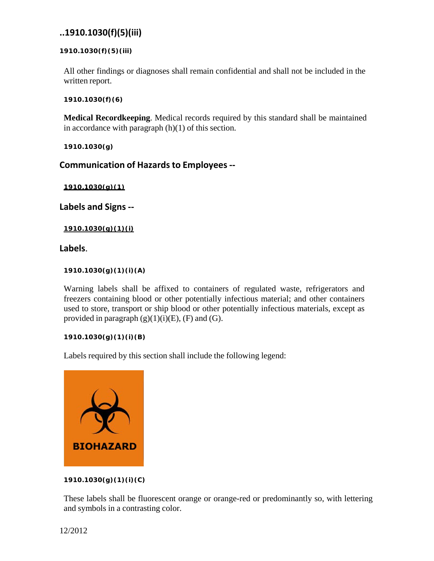# **..1910.1030(f)(5)(iii)**

## **1910.1030(f)(5)(iii)**

All other findings or diagnoses shall remain confidential and shall not be included in the written report.

**1910.1030(f)(6)**

**Medical Recordkeeping**. Medical records required by this standard shall be maintained in accordance with paragraph  $(h)(1)$  of this section.

**1910.1030(g)**

# **Communication of Hazards to Employees --**

**1910.1030(g)(1)**

**Labels and Signs --**

**1910.1030(g)(1)(i)**

**Labels**.

## **1910.1030(g)(1)(i)(A)**

Warning labels shall be affixed to containers of regulated waste, refrigerators and freezers containing blood or other potentially infectious material; and other containers used to store, transport or ship blood or other potentially infectious materials, except as provided in paragraph  $(g)(1)(i)(E)$ ,  $(F)$  and  $(G)$ .

## **1910.1030(g)(1)(i)(B)**

Labels required by this section shall include the following legend:



**1910.1030(g)(1)(i)(C)**

These labels shall be fluorescent orange or orange-red or predominantly so, with lettering and symbols in a contrasting color.

12/2012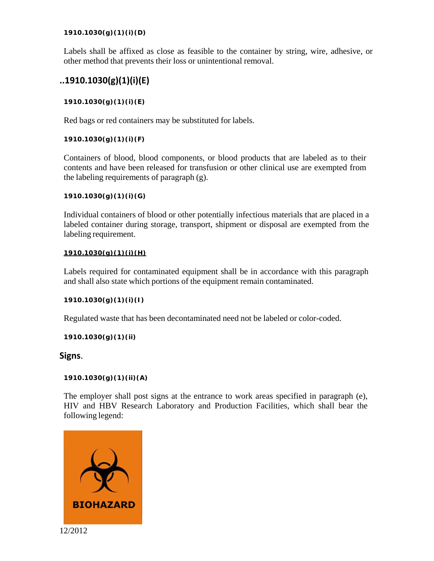#### **1910.1030(g)(1)(i)(D)**

Labels shall be affixed as close as feasible to the container by string, wire, adhesive, or other method that prevents their loss or unintentional removal.

## **..1910.1030(g)(1)(i)(E)**

## **1910.1030(g)(1)(i)(E)**

Red bags or red containers may be substituted for labels.

#### **1910.1030(g)(1)(i)(F)**

Containers of blood, blood components, or blood products that are labeled as to their contents and have been released for transfusion or other clinical use are exempted from the labeling requirements of paragraph (g).

#### **1910.1030(g)(1)(i)(G)**

Individual containers of blood or other potentially infectious materials that are placed in a labeled container during storage, transport, shipment or disposal are exempted from the labeling requirement.

#### **1910.1030(g)(1)(i)(H)**

Labels required for contaminated equipment shall be in accordance with this paragraph and shall also state which portions of the equipment remain contaminated.

## **1910.1030(g)(1)(i)(I)**

Regulated waste that has been decontaminated need not be labeled or color-coded.

## **1910.1030(g)(1)(ii)**

## **Signs**.

#### **1910.1030(g)(1)(ii)(A)**

The employer shall post signs at the entrance to work areas specified in paragraph (e), HIV and HBV Research Laboratory and Production Facilities, which shall bear the following legend:

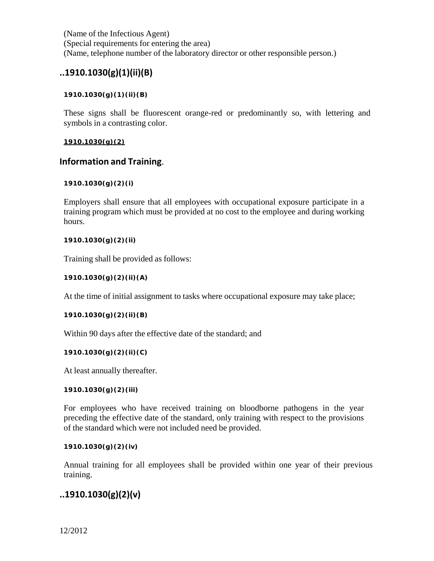(Name of the Infectious Agent) (Special requirements for entering the area) (Name, telephone number of the laboratory director or other responsible person.)

## **..1910.1030(g)(1)(ii)(B)**

## **1910.1030(g)(1)(ii)(B)**

These signs shall be fluorescent orange-red or predominantly so, with lettering and symbols in a contrasting color.

## **1910.1030(g)(2)**

## **Information and Training**.

## **1910.1030(g)(2)(i)**

Employers shall ensure that all employees with occupational exposure participate in a training program which must be provided at no cost to the employee and during working hours.

## **1910.1030(g)(2)(ii)**

Training shall be provided as follows:

#### **1910.1030(g)(2)(ii)(A)**

At the time of initial assignment to tasks where occupational exposure may take place;

#### **1910.1030(g)(2)(ii)(B)**

Within 90 days after the effective date of the standard; and

## **1910.1030(g)(2)(ii)(C)**

At least annually thereafter.

## **1910.1030(g)(2)(iii)**

For employees who have received training on bloodborne pathogens in the year preceding the effective date of the standard, only training with respect to the provisions of the standard which were not included need be provided.

#### **1910.1030(g)(2)(iv)**

Annual training for all employees shall be provided within one year of their previous training.

## **..1910.1030(g)(2)(v)**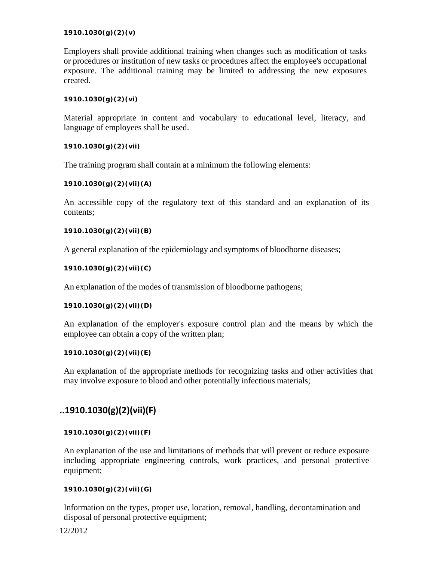#### **1910.1030(g)(2)(v)**

Employers shall provide additional training when changes such as modification of tasks or procedures or institution of new tasks or procedures affect the employee's occupational exposure. The additional training may be limited to addressing the new exposures created.

#### **1910.1030(g)(2)(vi)**

Material appropriate in content and vocabulary to educational level, literacy, and language of employees shall be used.

## **1910.1030(g)(2)(vii)**

The training program shall contain at a minimum the following elements:

## **1910.1030(g)(2)(vii)(A)**

An accessible copy of the regulatory text of this standard and an explanation of its contents;

## **1910.1030(g)(2)(vii)(B)**

A general explanation of the epidemiology and symptoms of bloodborne diseases;

#### **1910.1030(g)(2)(vii)(C)**

An explanation of the modes of transmission of bloodborne pathogens;

## **1910.1030(g)(2)(vii)(D)**

An explanation of the employer's exposure control plan and the means by which the employee can obtain a copy of the written plan;

#### **1910.1030(g)(2)(vii)(E)**

An explanation of the appropriate methods for recognizing tasks and other activities that may involve exposure to blood and other potentially infectious materials;

## **..1910.1030(g)(2)(vii)(F)**

#### **1910.1030(g)(2)(vii)(F)**

An explanation of the use and limitations of methods that will prevent or reduce exposure including appropriate engineering controls, work practices, and personal protective equipment;

#### **1910.1030(g)(2)(vii)(G)**

Information on the types, proper use, location, removal, handling, decontamination and disposal of personal protective equipment;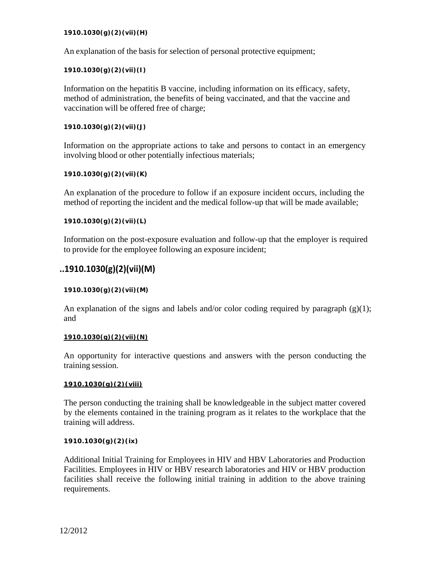#### **1910.1030(g)(2)(vii)(H)**

An explanation of the basis for selection of personal protective equipment;

## **1910.1030(g)(2)(vii)(I)**

Information on the hepatitis B vaccine, including information on its efficacy, safety, method of administration, the benefits of being vaccinated, and that the vaccine and vaccination will be offered free of charge;

#### **1910.1030(g)(2)(vii)(J)**

Information on the appropriate actions to take and persons to contact in an emergency involving blood or other potentially infectious materials;

#### **1910.1030(g)(2)(vii)(K)**

An explanation of the procedure to follow if an exposure incident occurs, including the method of reporting the incident and the medical follow-up that will be made available;

#### **1910.1030(g)(2)(vii)(L)**

Information on the post-exposure evaluation and follow-up that the employer is required to provide for the employee following an exposure incident;

## **..1910.1030(g)(2)(vii)(M)**

#### **1910.1030(g)(2)(vii)(M)**

An explanation of the signs and labels and/or color coding required by paragraph  $(g)(1)$ ; and

#### **1910.1030(g)(2)(vii)(N)**

An opportunity for interactive questions and answers with the person conducting the training session.

#### **1910.1030(g)(2)(viii)**

The person conducting the training shall be knowledgeable in the subject matter covered by the elements contained in the training program as it relates to the workplace that the training will address.

#### **1910.1030(g)(2)(ix)**

Additional Initial Training for Employees in HIV and HBV Laboratories and Production Facilities. Employees in HIV or HBV research laboratories and HIV or HBV production facilities shall receive the following initial training in addition to the above training requirements.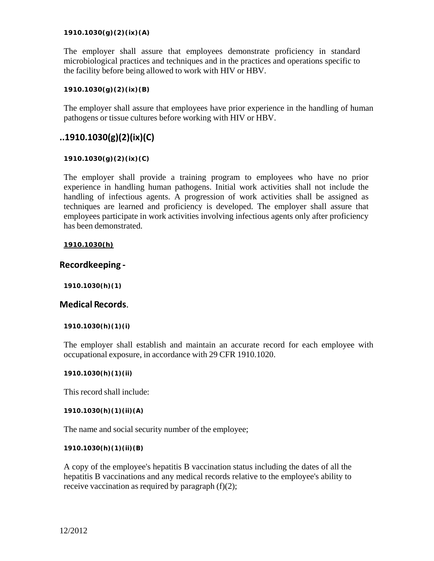#### **1910.1030(g)(2)(ix)(A)**

The employer shall assure that employees demonstrate proficiency in standard microbiological practices and techniques and in the practices and operations specific to the facility before being allowed to work with HIV or HBV.

#### **1910.1030(g)(2)(ix)(B)**

The employer shall assure that employees have prior experience in the handling of human pathogens or tissue cultures before working with HIV or HBV.

## **..1910.1030(g)(2)(ix)(C)**

#### **1910.1030(g)(2)(ix)(C)**

The employer shall provide a training program to employees who have no prior experience in handling human pathogens. Initial work activities shall not include the handling of infectious agents. A progression of work activities shall be assigned as techniques are learned and proficiency is developed. The employer shall assure that employees participate in work activities involving infectious agents only after proficiency has been demonstrated.

#### **1910.1030(h)**

## **Recordkeeping -**

**1910.1030(h)(1)**

## **Medical Records**.

#### **1910.1030(h)(1)(i)**

The employer shall establish and maintain an accurate record for each employee with occupational exposure, in accordance with 29 CFR 1910.1020.

#### **1910.1030(h)(1)(ii)**

This record shall include:

#### **1910.1030(h)(1)(ii)(A)**

The name and social security number of the employee;

### **1910.1030(h)(1)(ii)(B)**

A copy of the employee's hepatitis B vaccination status including the dates of all the hepatitis B vaccinations and any medical records relative to the employee's ability to receive vaccination as required by paragraph (f)(2);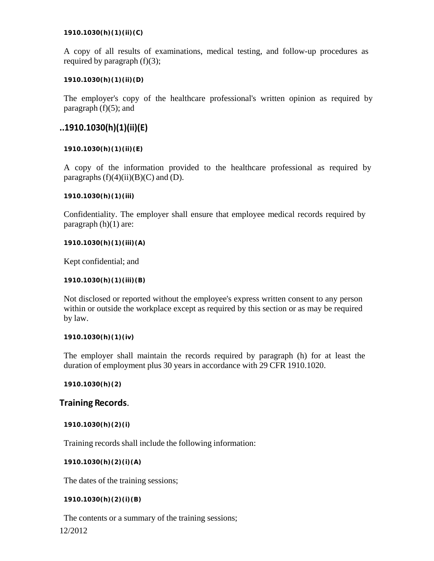#### **1910.1030(h)(1)(ii)(C)**

A copy of all results of examinations, medical testing, and follow-up procedures as required by paragraph (f)(3);

#### **1910.1030(h)(1)(ii)(D)**

The employer's copy of the healthcare professional's written opinion as required by paragraph  $(f)(5)$ ; and

## **..1910.1030(h)(1)(ii)(E)**

## **1910.1030(h)(1)(ii)(E)**

A copy of the information provided to the healthcare professional as required by paragraphs  $(f)(4)(ii)(B)(C)$  and  $(D)$ .

## **1910.1030(h)(1)(iii)**

Confidentiality. The employer shall ensure that employee medical records required by paragraph (h)(1) are:

## **1910.1030(h)(1)(iii)(A)**

Kept confidential; and

## **1910.1030(h)(1)(iii)(B)**

Not disclosed or reported without the employee's express written consent to any person within or outside the workplace except as required by this section or as may be required by law.

#### **1910.1030(h)(1)(iv)**

The employer shall maintain the records required by paragraph (h) for at least the duration of employment plus 30 years in accordance with 29 CFR 1910.1020.

**1910.1030(h)(2)**

## **Training Records**.

```
1910.1030(h)(2)(i)
```
Training records shall include the following information:

#### **1910.1030(h)(2)(i)(A)**

The dates of the training sessions;

#### **1910.1030(h)(2)(i)(B)**

The contents or a summary of the training sessions; 12/2012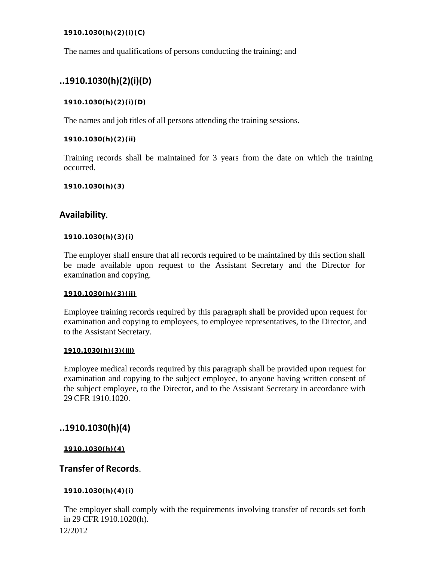#### **1910.1030(h)(2)(i)(C)**

The names and qualifications of persons conducting the training; and

## **..1910.1030(h)(2)(i)(D)**

## **1910.1030(h)(2)(i)(D)**

The names and job titles of all persons attending the training sessions.

#### **1910.1030(h)(2)(ii)**

Training records shall be maintained for 3 years from the date on which the training occurred.

**1910.1030(h)(3)**

## **Availability**.

#### **1910.1030(h)(3)(i)**

The employer shall ensure that all records required to be maintained by this section shall be made available upon request to the Assistant Secretary and the Director for examination and copying.

#### **1910.1030(h)(3)(ii)**

Employee training records required by this paragraph shall be provided upon request for examination and copying to employees, to employee representatives, to the Director, and to the Assistant Secretary.

#### **1910.1030(h)(3)(iii)**

Employee medical records required by this paragraph shall be provided upon request for examination and copying to the subject employee, to anyone having written consent of the subject employee, to the Director, and to the Assistant Secretary in accordance with 29 CFR 1910.1020.

## **..1910.1030(h)(4)**

**1910.1030(h)(4)**

## **Transfer of Records**.

## **1910.1030(h)(4)(i)**

The employer shall comply with the requirements involving transfer of records set forth in 29 CFR 1910.1020(h).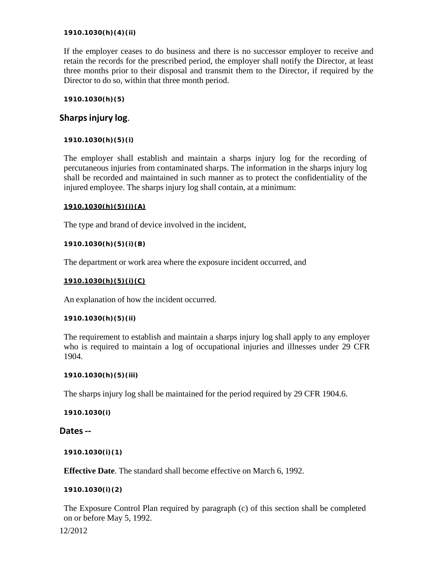#### **1910.1030(h)(4)(ii)**

If the employer ceases to do business and there is no successor employer to receive and retain the records for the prescribed period, the employer shall notify the Director, at least three months prior to their disposal and transmit them to the Director, if required by the Director to do so, within that three month period.

**1910.1030(h)(5)**

## **Sharpsinjury log**.

#### **1910.1030(h)(5)(i)**

The employer shall establish and maintain a sharps injury log for the recording of percutaneous injuries from contaminated sharps. The information in the sharps injury log shall be recorded and maintained in such manner as to protect the confidentiality of the injured employee. The sharps injury log shall contain, at a minimum:

#### **1910.1030(h)(5)(i)(A)**

The type and brand of device involved in the incident,

#### **1910.1030(h)(5)(i)(B)**

The department or work area where the exposure incident occurred, and

#### **1910.1030(h)(5)(i)(C)**

An explanation of how the incident occurred.

#### **1910.1030(h)(5)(ii)**

The requirement to establish and maintain a sharps injury log shall apply to any employer who is required to maintain a log of occupational injuries and illnesses under 29 CFR 1904.

#### **1910.1030(h)(5)(iii)**

The sharps injury log shall be maintained for the period required by 29 CFR 1904.6.

**1910.1030(i)**

#### **Dates--**

**1910.1030(i)(1)**

**Effective Date**. The standard shall become effective on March 6, 1992.

#### **1910.1030(i)(2)**

The Exposure Control Plan required by paragraph (c) of this section shall be completed on or before May 5, 1992.

12/2012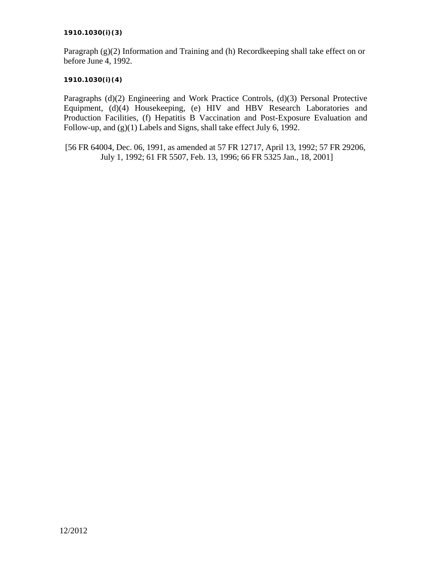## **1910.1030(i)(3)**

Paragraph (g)(2) Information and Training and (h) Recordkeeping shall take effect on or before June 4, 1992.

## **1910.1030(i)(4)**

Paragraphs (d)(2) Engineering and Work Practice Controls, (d)(3) Personal Protective Equipment, (d)(4) Housekeeping, (e) HIV and HBV Research Laboratories and Production Facilities, (f) Hepatitis B Vaccination and Post-Exposure Evaluation and Follow-up, and (g)(1) Labels and Signs, shall take effect July 6, 1992.

[56 FR 64004, Dec. 06, 1991, as amended at 57 FR 12717, April 13, 1992; 57 FR 29206, July 1, 1992; 61 FR 5507, Feb. 13, 1996; 66 FR 5325 Jan., 18, 2001]